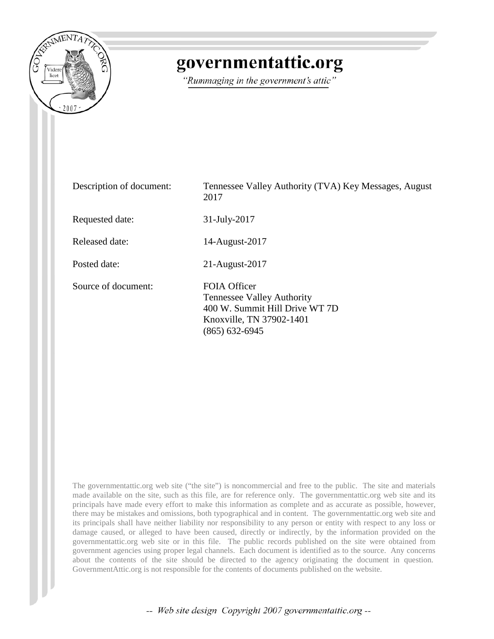

# governmentattic.org

"Rummaging in the government's attic"

| Description of document: | Tennessee Valley Authority (TVA) Key Messages, August<br>2017                                                                     |
|--------------------------|-----------------------------------------------------------------------------------------------------------------------------------|
| Requested date:          | $31$ -July-2017                                                                                                                   |
| <b>Released date:</b>    | 14-August-2017                                                                                                                    |
| Posted date:             | $21$ -August- $2017$                                                                                                              |
| Source of document:      | FOIA Officer<br><b>Tennessee Valley Authority</b><br>400 W. Summit Hill Drive WT 7D<br>Knoxville, TN 37902-1401<br>(865) 632-6945 |

The governmentattic.org web site ("the site") is noncommercial and free to the public. The site and materials made available on the site, such as this file, are for reference only. The governmentattic.org web site and its principals have made every effort to make this information as complete and as accurate as possible, however, there may be mistakes and omissions, both typographical and in content. The governmentattic.org web site and its principals shall have neither liability nor responsibility to any person or entity with respect to any loss or damage caused, or alleged to have been caused, directly or indirectly, by the information provided on the governmentattic.org web site or in this file. The public records published on the site were obtained from government agencies using proper legal channels. Each document is identified as to the source. Any concerns about the contents of the site should be directed to the agency originating the document in question. GovernmentAttic.org is not responsible for the contents of documents published on the website.

-- Web site design Copyright 2007 governmentattic.org --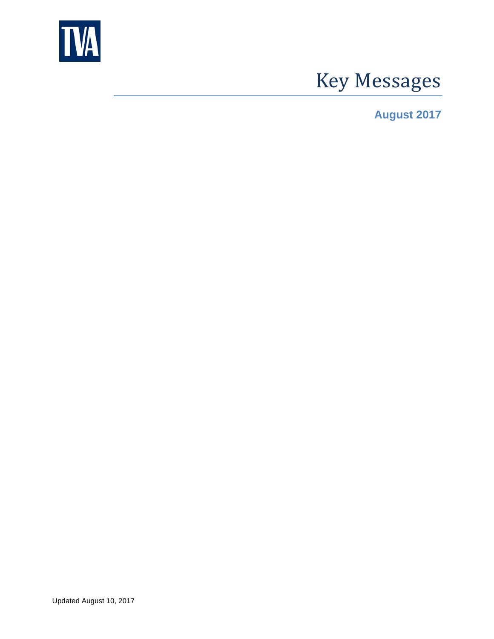

# Key Messages

**August 2017**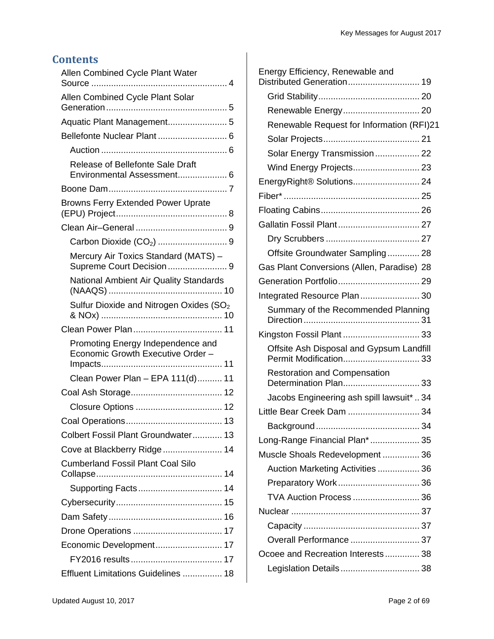### **Contents**

| Allen Combined Cycle Plant Water                                       |
|------------------------------------------------------------------------|
| Allen Combined Cycle Plant Solar                                       |
|                                                                        |
| Bellefonte Nuclear Plant  6                                            |
|                                                                        |
| Release of Bellefonte Sale Draft<br>Environmental Assessment 6         |
|                                                                        |
| <b>Browns Ferry Extended Power Uprate</b>                              |
|                                                                        |
|                                                                        |
| Mercury Air Toxics Standard (MATS) -<br>Supreme Court Decision9        |
| National Ambient Air Quality Standards                                 |
| Sulfur Dioxide and Nitrogen Oxides (SO <sub>2</sub>                    |
|                                                                        |
| Promoting Energy Independence and<br>Economic Growth Executive Order - |
| Clean Power Plan - EPA 111(d) 11                                       |
|                                                                        |
|                                                                        |
|                                                                        |
| Colbert Fossil Plant Groundwater 13                                    |
| Cove at Blackberry Ridge 14                                            |
| <b>Cumberland Fossil Plant Coal Silo</b>                               |
|                                                                        |
| Supporting Facts 14                                                    |
|                                                                        |
|                                                                        |
|                                                                        |
| Economic Development 17                                                |
|                                                                        |
| Effluent Limitations Guidelines  18                                    |

| Energy Efficiency, Renewable and<br>Distributed Generation 19      |
|--------------------------------------------------------------------|
|                                                                    |
| Renewable Energy 20                                                |
| Renewable Request for Information (RFI)21                          |
|                                                                    |
| Solar Energy Transmission 22                                       |
| Wind Energy Projects 23                                            |
| EnergyRight® Solutions 24                                          |
|                                                                    |
|                                                                    |
| Gallatin Fossil Plant 27                                           |
|                                                                    |
| Offsite Groundwater Sampling 28                                    |
| Gas Plant Conversions (Allen, Paradise) 28                         |
|                                                                    |
| Integrated Resource Plan 30                                        |
| Summary of the Recommended Planning                                |
| Kingston Fossil Plant  33                                          |
| Offsite Ash Disposal and Gypsum Landfill<br>Permit Modification 33 |
| <b>Restoration and Compensation</b><br>Determination Plan 33       |
| Jacobs Engineering ash spill lawsuit*  34                          |
| Little Bear Creek Dam  34                                          |
|                                                                    |
| Long-Range Financial Plan* 35                                      |
| Muscle Shoals Redevelopment 36                                     |
| Auction Marketing Activities  36                                   |
|                                                                    |
| <b>TVA Auction Process  36</b>                                     |
|                                                                    |
|                                                                    |
| Overall Performance  37                                            |
| Ocoee and Recreation Interests 38                                  |
| Legislation Details 38                                             |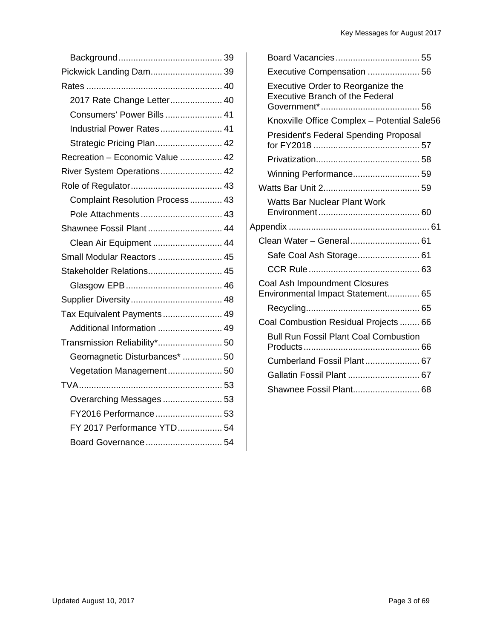| Pickwick Landing Dam 39         |
|---------------------------------|
|                                 |
| 2017 Rate Change Letter 40      |
| Consumers' Power Bills  41      |
| Industrial Power Rates 41       |
| Strategic Pricing Plan 42       |
| Recreation - Economic Value  42 |
| River System Operations 42      |
|                                 |
| Complaint Resolution Process 43 |
| Pole Attachments 43             |
| Shawnee Fossil Plant  44        |
| Clean Air Equipment  44         |
| Small Modular Reactors  45      |
| Stakeholder Relations 45        |
|                                 |
|                                 |
| Tax Equivalent Payments 49      |
| Additional Information  49      |
| Transmission Reliability* 50    |
| Geomagnetic Disturbances*  50   |
| Vegetation Management 50        |
|                                 |
| Overarching Messages 53         |
| FY2016 Performance 53           |
| FY 2017 Performance YTD 54      |
| Board Governance 54             |

| Board Vacancies 55                                                          |  |
|-----------------------------------------------------------------------------|--|
| Executive Compensation  56                                                  |  |
| Executive Order to Reorganize the<br><b>Executive Branch of the Federal</b> |  |
| Knoxville Office Complex - Potential Sale56                                 |  |
| <b>President's Federal Spending Proposal</b>                                |  |
|                                                                             |  |
| Winning Performance 59                                                      |  |
|                                                                             |  |
| <b>Watts Bar Nuclear Plant Work</b>                                         |  |
|                                                                             |  |
| Clean Water - General 61                                                    |  |
| Safe Coal Ash Storage 61                                                    |  |
|                                                                             |  |
| Coal Ash Impoundment Closures<br>Environmental Impact Statement 65          |  |
|                                                                             |  |
| Coal Combustion Residual Projects  66                                       |  |
| <b>Bull Run Fossil Plant Coal Combustion</b>                                |  |
| Cumberland Fossil Plant 67                                                  |  |
|                                                                             |  |
| Shawnee Fossil Plant 68                                                     |  |
|                                                                             |  |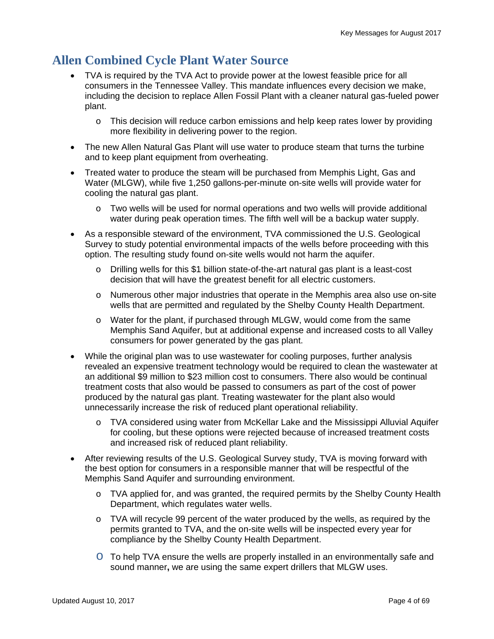# **Allen Combined Cycle Plant Water Source**

- TVA is required by the TVA Act to provide power at the lowest feasible price for all consumers in the Tennessee Valley. This mandate influences every decision we make, including the decision to replace Allen Fossil Plant with a cleaner natural gas-fueled power plant.
	- $\circ$  This decision will reduce carbon emissions and help keep rates lower by providing more flexibility in delivering power to the region.
- The new Allen Natural Gas Plant will use water to produce steam that turns the turbine and to keep plant equipment from overheating.
- Treated water to produce the steam will be purchased from Memphis Light, Gas and Water (MLGW), while five 1,250 gallons-per-minute on-site wells will provide water for cooling the natural gas plant.
	- $\circ$  Two wells will be used for normal operations and two wells will provide additional water during peak operation times. The fifth well will be a backup water supply.
- As a responsible steward of the environment, TVA commissioned the U.S. Geological Survey to study potential environmental impacts of the wells before proceeding with this option. The resulting study found on-site wells would not harm the aquifer.
	- o Drilling wells for this \$1 billion state-of-the-art natural gas plant is a least-cost decision that will have the greatest benefit for all electric customers.
	- o Numerous other major industries that operate in the Memphis area also use on-site wells that are permitted and regulated by the Shelby County Health Department.
	- o Water for the plant, if purchased through MLGW, would come from the same Memphis Sand Aquifer, but at additional expense and increased costs to all Valley consumers for power generated by the gas plant.
- While the original plan was to use wastewater for cooling purposes, further analysis revealed an expensive treatment technology would be required to clean the wastewater at an additional \$9 million to \$23 million cost to consumers. There also would be continual treatment costs that also would be passed to consumers as part of the cost of power produced by the natural gas plant. Treating wastewater for the plant also would unnecessarily increase the risk of reduced plant operational reliability.
	- o TVA considered using water from McKellar Lake and the Mississippi Alluvial Aquifer for cooling, but these options were rejected because of increased treatment costs and increased risk of reduced plant reliability.
- After reviewing results of the U.S. Geological Survey study, TVA is moving forward with the best option for consumers in a responsible manner that will be respectful of the Memphis Sand Aquifer and surrounding environment.
	- o TVA applied for, and was granted, the required permits by the Shelby County Health Department, which regulates water wells.
	- o TVA will recycle 99 percent of the water produced by the wells, as required by the permits granted to TVA, and the on-site wells will be inspected every year for compliance by the Shelby County Health Department.
	- $\circ$  To help TVA ensure the wells are properly installed in an environmentally safe and sound manner**,** we are using the same expert drillers that MLGW uses.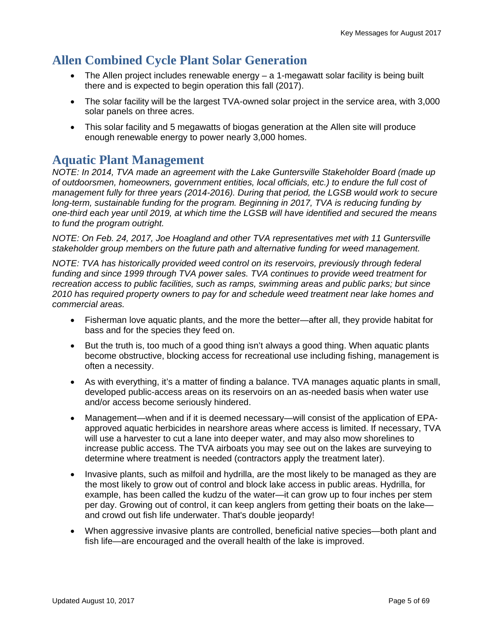# **Allen Combined Cycle Plant Solar Generation**

- The Allen project includes renewable energy a 1-megawatt solar facility is being built there and is expected to begin operation this fall (2017).
- The solar facility will be the largest TVA-owned solar project in the service area, with 3,000 solar panels on three acres.
- This solar facility and 5 megawatts of biogas generation at the Allen site will produce enough renewable energy to power nearly 3,000 homes.

### **Aquatic Plant Management**

*NOTE: In 2014, TVA made an agreement with the Lake Guntersville Stakeholder Board (made up of outdoorsmen, homeowners, government entities, local officials, etc.) to endure the full cost of management fully for three years (2014-2016). During that period, the LGSB would work to secure long-term, sustainable funding for the program. Beginning in 2017, TVA is reducing funding by one-third each year until 2019, at which time the LGSB will have identified and secured the means to fund the program outright.* 

*NOTE: On Feb. 24, 2017, Joe Hoagland and other TVA representatives met with 11 Guntersville stakeholder group members on the future path and alternative funding for weed management.* 

*NOTE: TVA has historically provided weed control on its reservoirs, previously through federal*  funding and since 1999 through TVA power sales. TVA continues to provide weed treatment for *recreation access to public facilities, such as ramps, swimming areas and public parks; but since 2010 has required property owners to pay for and schedule weed treatment near lake homes and commercial areas.*

- Fisherman love aquatic plants, and the more the better—after all, they provide habitat for bass and for the species they feed on.
- But the truth is, too much of a good thing isn't always a good thing. When aquatic plants become obstructive, blocking access for recreational use including fishing, management is often a necessity.
- As with everything, it's a matter of finding a balance. TVA manages aquatic plants in small, developed public-access areas on its reservoirs on an as-needed basis when water use and/or access become seriously hindered.
- Management—when and if it is deemed necessary—will consist of the application of EPAapproved aquatic herbicides in nearshore areas where access is limited. If necessary, TVA will use a harvester to cut a lane into deeper water, and may also mow shorelines to increase public access. The TVA airboats you may see out on the lakes are surveying to determine where treatment is needed (contractors apply the treatment later).
- Invasive plants, such as milfoil and hydrilla, are the most likely to be managed as they are the most likely to grow out of control and block lake access in public areas. Hydrilla, for example, has been called the kudzu of the water—it can grow up to four inches per stem per day. Growing out of control, it can keep anglers from getting their boats on the lake and crowd out fish life underwater. That's double jeopardy!
- When aggressive invasive plants are controlled, beneficial native species—both plant and fish life—are encouraged and the overall health of the lake is improved.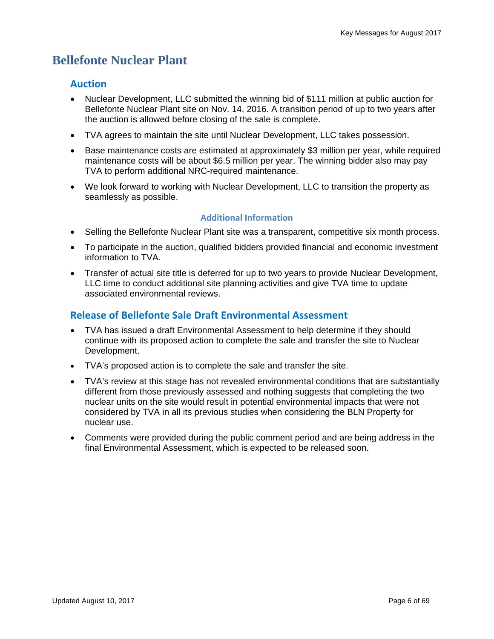# **Bellefonte Nuclear Plant**

#### **Auction**

- Nuclear Development, LLC submitted the winning bid of \$111 million at public auction for Bellefonte Nuclear Plant site on Nov. 14, 2016. A transition period of up to two years after the auction is allowed before closing of the sale is complete.
- TVA agrees to maintain the site until Nuclear Development, LLC takes possession.
- Base maintenance costs are estimated at approximately \$3 million per year, while required maintenance costs will be about \$6.5 million per year. The winning bidder also may pay TVA to perform additional NRC-required maintenance.
- We look forward to working with Nuclear Development, LLC to transition the property as seamlessly as possible.

#### **Additional Information**

- Selling the Bellefonte Nuclear Plant site was a transparent, competitive six month process.
- To participate in the auction, qualified bidders provided financial and economic investment information to TVA.
- Transfer of actual site title is deferred for up to two years to provide Nuclear Development, LLC time to conduct additional site planning activities and give TVA time to update associated environmental reviews.

#### **Release of Bellefonte Sale Draft Environmental Assessment**

- TVA has issued a draft Environmental Assessment to help determine if they should continue with its proposed action to complete the sale and transfer the site to Nuclear Development.
- TVA's proposed action is to complete the sale and transfer the site.
- TVA's review at this stage has not revealed environmental conditions that are substantially different from those previously assessed and nothing suggests that completing the two nuclear units on the site would result in potential environmental impacts that were not considered by TVA in all its previous studies when considering the BLN Property for nuclear use.
- Comments were provided during the public comment period and are being address in the final Environmental Assessment, which is expected to be released soon.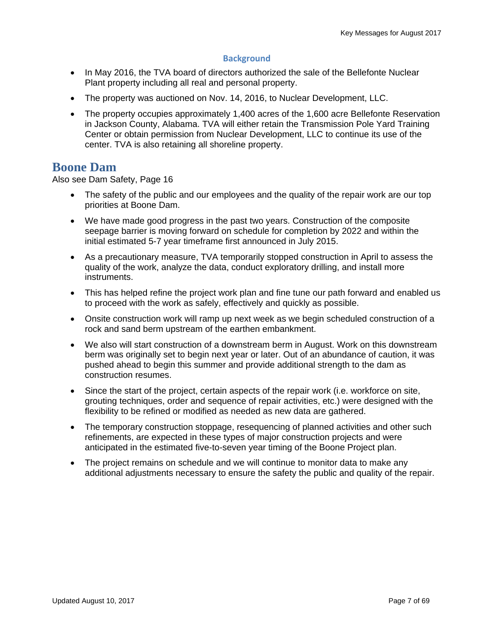#### **Background**

- In May 2016, the TVA board of directors authorized the sale of the Bellefonte Nuclear Plant property including all real and personal property.
- The property was auctioned on Nov. 14, 2016, to Nuclear Development, LLC.
- The property occupies approximately 1,400 acres of the 1,600 acre Bellefonte Reservation in Jackson County, Alabama. TVA will either retain the Transmission Pole Yard Training Center or obtain permission from Nuclear Development, LLC to continue its use of the center. TVA is also retaining all shoreline property.

### **Boone Dam**

Also see Dam Safety, Page 16

- The safety of the public and our employees and the quality of the repair work are our top priorities at Boone Dam.
- We have made good progress in the past two years. Construction of the composite seepage barrier is moving forward on schedule for completion by 2022 and within the initial estimated 5-7 year timeframe first announced in July 2015.
- As a precautionary measure, TVA temporarily stopped construction in April to assess the quality of the work, analyze the data, conduct exploratory drilling, and install more instruments.
- This has helped refine the project work plan and fine tune our path forward and enabled us to proceed with the work as safely, effectively and quickly as possible.
- Onsite construction work will ramp up next week as we begin scheduled construction of a rock and sand berm upstream of the earthen embankment.
- We also will start construction of a downstream berm in August. Work on this downstream berm was originally set to begin next year or later. Out of an abundance of caution, it was pushed ahead to begin this summer and provide additional strength to the dam as construction resumes.
- Since the start of the project, certain aspects of the repair work (i.e. workforce on site, grouting techniques, order and sequence of repair activities, etc.) were designed with the flexibility to be refined or modified as needed as new data are gathered.
- The temporary construction stoppage, resequencing of planned activities and other such refinements, are expected in these types of major construction projects and were anticipated in the estimated five-to-seven year timing of the Boone Project plan.
- The project remains on schedule and we will continue to monitor data to make any additional adjustments necessary to ensure the safety the public and quality of the repair.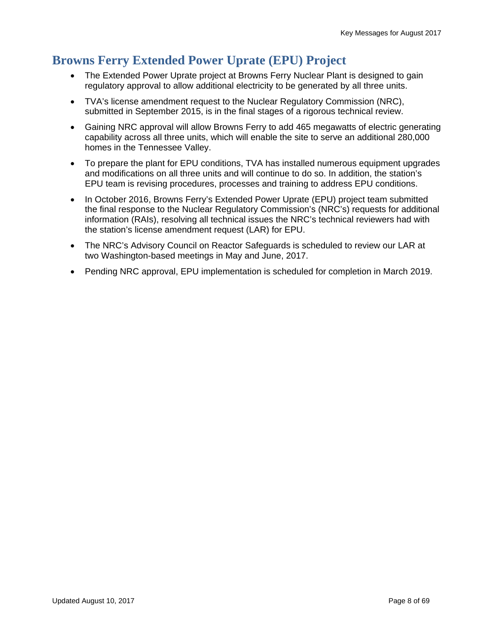# **Browns Ferry Extended Power Uprate (EPU) Project**

- The Extended Power Uprate project at Browns Ferry Nuclear Plant is designed to gain regulatory approval to allow additional electricity to be generated by all three units.
- TVA's license amendment request to the Nuclear Regulatory Commission (NRC), submitted in September 2015, is in the final stages of a rigorous technical review.
- Gaining NRC approval will allow Browns Ferry to add 465 megawatts of electric generating capability across all three units, which will enable the site to serve an additional 280,000 homes in the Tennessee Valley.
- To prepare the plant for EPU conditions, TVA has installed numerous equipment upgrades and modifications on all three units and will continue to do so. In addition, the station's EPU team is revising procedures, processes and training to address EPU conditions.
- In October 2016, Browns Ferry's Extended Power Uprate (EPU) project team submitted the final response to the Nuclear Regulatory Commission's (NRC's) requests for additional information (RAIs), resolving all technical issues the NRC's technical reviewers had with the station's license amendment request (LAR) for EPU.
- The NRC's Advisory Council on Reactor Safeguards is scheduled to review our LAR at two Washington-based meetings in May and June, 2017.
- Pending NRC approval, EPU implementation is scheduled for completion in March 2019.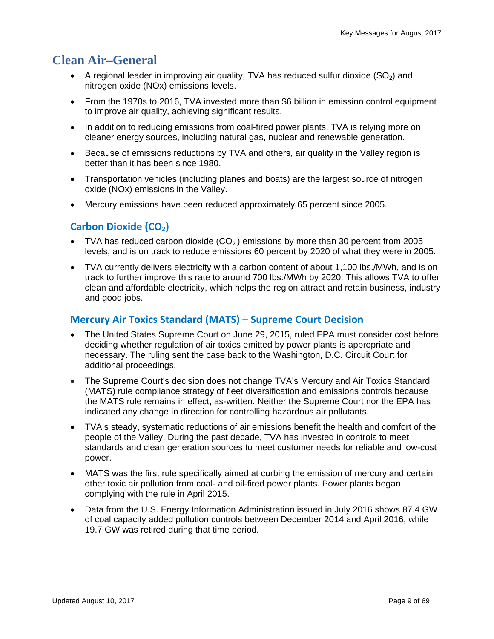# **Clean Air–General**

- A regional leader in improving air quality, TVA has reduced sulfur dioxide  $(SO<sub>2</sub>)$  and nitrogen oxide (NOx) emissions levels.
- From the 1970s to 2016, TVA invested more than \$6 billion in emission control equipment to improve air quality, achieving significant results.
- In addition to reducing emissions from coal-fired power plants, TVA is relying more on cleaner energy sources, including natural gas, nuclear and renewable generation.
- Because of emissions reductions by TVA and others, air quality in the Valley region is better than it has been since 1980.
- Transportation vehicles (including planes and boats) are the largest source of nitrogen oxide (NOx) emissions in the Valley.
- Mercury emissions have been reduced approximately 65 percent since 2005.

### **Carbon Dioxide (CO<sub>2</sub>)**

- TVA has reduced carbon dioxide  $(CO<sub>2</sub>)$  emissions by more than 30 percent from 2005 levels, and is on track to reduce emissions 60 percent by 2020 of what they were in 2005.
- TVA currently delivers electricity with a carbon content of about 1,100 lbs./MWh, and is on track to further improve this rate to around 700 lbs./MWh by 2020. This allows TVA to offer clean and affordable electricity, which helps the region attract and retain business, industry and good jobs.

#### **Mercury Air Toxics Standard (MATS) – Supreme Court Decision**

- The United States Supreme Court on June 29, 2015, ruled EPA must consider cost before deciding whether regulation of air toxics emitted by power plants is appropriate and necessary. The ruling sent the case back to the Washington, D.C. Circuit Court for additional proceedings.
- The Supreme Court's decision does not change TVA's Mercury and Air Toxics Standard (MATS) rule compliance strategy of fleet diversification and emissions controls because the MATS rule remains in effect, as-written. Neither the Supreme Court nor the EPA has indicated any change in direction for controlling hazardous air pollutants.
- TVA's steady, systematic reductions of air emissions benefit the health and comfort of the people of the Valley. During the past decade, TVA has invested in controls to meet standards and clean generation sources to meet customer needs for reliable and low-cost power.
- MATS was the first rule specifically aimed at curbing the emission of mercury and certain other toxic air pollution from coal- and oil-fired power plants. Power plants began complying with the rule in April 2015.
- Data from the U.S. Energy Information Administration issued in July 2016 shows 87.4 GW of coal capacity added pollution controls between December 2014 and April 2016, while 19.7 GW was retired during that time period.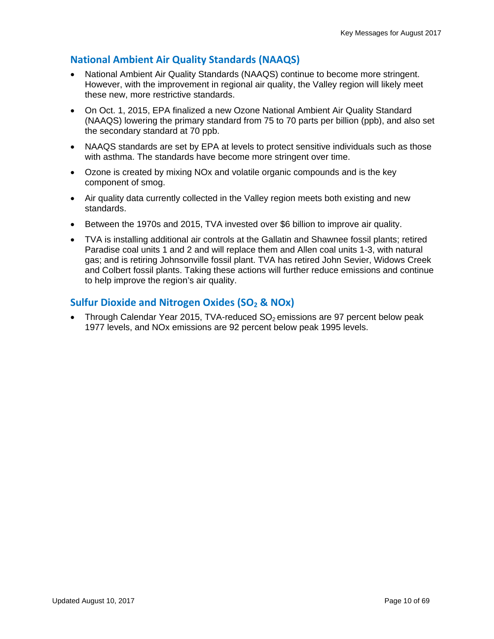### **National Ambient Air Quality Standards (NAAQS)**

- National Ambient Air Quality Standards (NAAQS) continue to become more stringent. However, with the improvement in regional air quality, the Valley region will likely meet these new, more restrictive standards.
- On Oct. 1, 2015, EPA finalized a new Ozone National Ambient Air Quality Standard (NAAQS) lowering the primary standard from 75 to 70 parts per billion (ppb), and also set the secondary standard at 70 ppb.
- NAAQS standards are set by EPA at levels to protect sensitive individuals such as those with asthma. The standards have become more stringent over time.
- Ozone is created by mixing NOx and volatile organic compounds and is the key component of smog.
- Air quality data currently collected in the Valley region meets both existing and new standards.
- Between the 1970s and 2015, TVA invested over \$6 billion to improve air quality.
- TVA is installing additional air controls at the Gallatin and Shawnee fossil plants; retired Paradise coal units 1 and 2 and will replace them and Allen coal units 1-3, with natural gas; and is retiring Johnsonville fossil plant. TVA has retired John Sevier, Widows Creek and Colbert fossil plants. Taking these actions will further reduce emissions and continue to help improve the region's air quality.

### **Sulfur Dioxide and Nitrogen Oxides (SO<sub>2</sub> & NOx)**

Through Calendar Year 2015, TVA-reduced  $SO<sub>2</sub>$  emissions are 97 percent below peak 1977 levels, and NOx emissions are 92 percent below peak 1995 levels.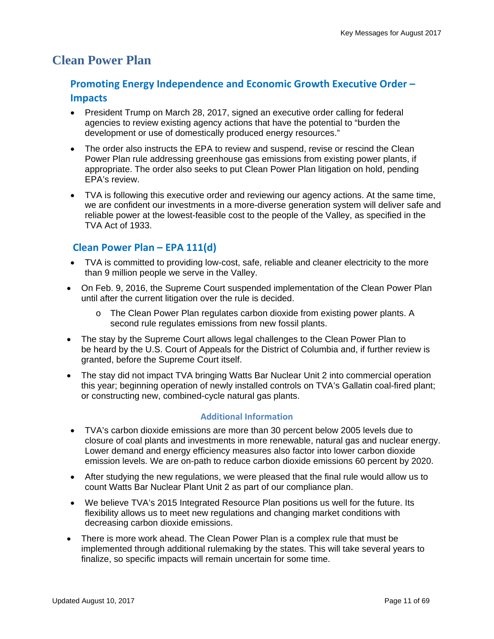### **Clean Power Plan**

### **Promoting Energy Independence and Economic Growth Executive Order – Impacts**

- President Trump on March 28, 2017, signed an executive order calling for federal agencies to review existing agency actions that have the potential to "burden the development or use of domestically produced energy resources."
- The order also instructs the EPA to review and suspend, revise or rescind the Clean Power Plan rule addressing greenhouse gas emissions from existing power plants, if appropriate. The order also seeks to put Clean Power Plan litigation on hold, pending EPA's review.
- TVA is following this executive order and reviewing our agency actions. At the same time, we are confident our investments in a more-diverse generation system will deliver safe and reliable power at the lowest-feasible cost to the people of the Valley, as specified in the TVA Act of 1933.

### **Clean Power Plan – EPA 111(d)**

- TVA is committed to providing low-cost, safe, reliable and cleaner electricity to the more than 9 million people we serve in the Valley.
- On Feb. 9, 2016, the Supreme Court suspended implementation of the Clean Power Plan until after the current litigation over the rule is decided.
	- o The Clean Power Plan regulates carbon dioxide from existing power plants. A second rule regulates emissions from new fossil plants.
- The stay by the Supreme Court allows legal challenges to the Clean Power Plan to be heard by the U.S. Court of Appeals for the District of Columbia and, if further review is granted, before the Supreme Court itself.
- The stay did not impact TVA bringing Watts Bar Nuclear Unit 2 into commercial operation this year; beginning operation of newly installed controls on TVA's Gallatin coal-fired plant; or constructing new, combined-cycle natural gas plants.

#### **Additional Information**

- TVA's carbon dioxide emissions are more than 30 percent below 2005 levels due to closure of coal plants and investments in more renewable, natural gas and nuclear energy. Lower demand and energy efficiency measures also factor into lower carbon dioxide emission levels. We are on-path to reduce carbon dioxide emissions 60 percent by 2020.
- After studying the new regulations, we were pleased that the final rule would allow us to count Watts Bar Nuclear Plant Unit 2 as part of our compliance plan.
- We believe TVA's 2015 Integrated Resource Plan positions us well for the future. Its flexibility allows us to meet new regulations and changing market conditions with decreasing carbon dioxide emissions.
- There is more work ahead. The Clean Power Plan is a complex rule that must be implemented through additional rulemaking by the states. This will take several years to finalize, so specific impacts will remain uncertain for some time.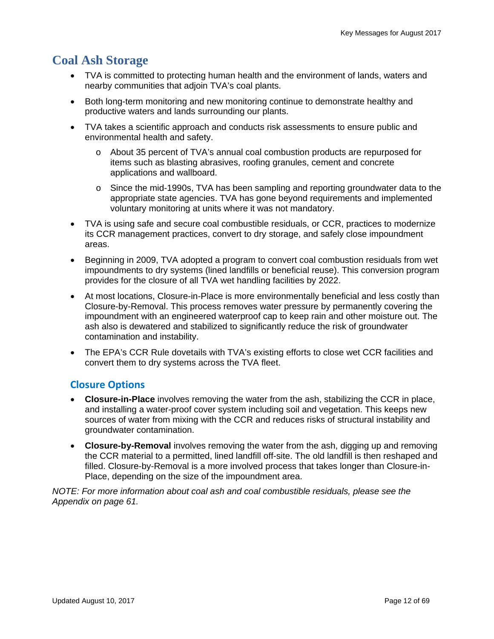# **Coal Ash Storage**

- TVA is committed to protecting human health and the environment of lands, waters and nearby communities that adjoin TVA's coal plants.
- Both long-term monitoring and new monitoring continue to demonstrate healthy and productive waters and lands surrounding our plants.
- TVA takes a scientific approach and conducts risk assessments to ensure public and environmental health and safety.
	- o About 35 percent of TVA's annual coal combustion products are repurposed for items such as blasting abrasives, roofing granules, cement and concrete applications and wallboard.
	- o Since the mid-1990s, TVA has been sampling and reporting groundwater data to the appropriate state agencies. TVA has gone beyond requirements and implemented voluntary monitoring at units where it was not mandatory.
- TVA is using safe and secure coal combustible residuals, or CCR, practices to modernize its CCR management practices, convert to dry storage, and safely close impoundment areas.
- Beginning in 2009, TVA adopted a program to convert coal combustion residuals from wet impoundments to dry systems (lined landfills or beneficial reuse). This conversion program provides for the closure of all TVA wet handling facilities by 2022.
- At most locations, Closure-in-Place is more environmentally beneficial and less costly than Closure-by-Removal. This process removes water pressure by permanently covering the impoundment with an engineered waterproof cap to keep rain and other moisture out. The ash also is dewatered and stabilized to significantly reduce the risk of groundwater contamination and instability.
- The EPA's CCR Rule dovetails with TVA's existing efforts to close wet CCR facilities and convert them to dry systems across the TVA fleet.

### **Closure Options**

- **Closure-in-Place** involves removing the water from the ash, stabilizing the CCR in place, and installing a water-proof cover system including soil and vegetation. This keeps new sources of water from mixing with the CCR and reduces risks of structural instability and groundwater contamination.
- **Closure-by-Removal** involves removing the water from the ash, digging up and removing the CCR material to a permitted, lined landfill off-site. The old landfill is then reshaped and filled. Closure-by-Removal is a more involved process that takes longer than Closure-in-Place, depending on the size of the impoundment area.

*NOTE: For more information about coal ash and coal combustible residuals, please see the Appendix on page 61.*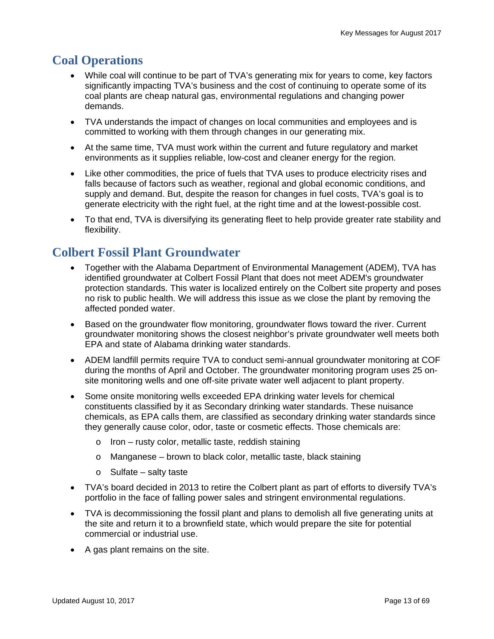# **Coal Operations**

- While coal will continue to be part of TVA's generating mix for years to come, key factors significantly impacting TVA's business and the cost of continuing to operate some of its coal plants are cheap natural gas, environmental regulations and changing power demands.
- TVA understands the impact of changes on local communities and employees and is committed to working with them through changes in our generating mix.
- At the same time, TVA must work within the current and future regulatory and market environments as it supplies reliable, low-cost and cleaner energy for the region.
- Like other commodities, the price of fuels that TVA uses to produce electricity rises and falls because of factors such as weather, regional and global economic conditions, and supply and demand. But, despite the reason for changes in fuel costs, TVA's goal is to generate electricity with the right fuel, at the right time and at the lowest-possible cost.
- To that end, TVA is diversifying its generating fleet to help provide greater rate stability and flexibility.

# **Colbert Fossil Plant Groundwater**

- Together with the Alabama Department of Environmental Management (ADEM), TVA has identified groundwater at Colbert Fossil Plant that does not meet ADEM's groundwater protection standards. This water is localized entirely on the Colbert site property and poses no risk to public health. We will address this issue as we close the plant by removing the affected ponded water.
- Based on the groundwater flow monitoring, groundwater flows toward the river. Current groundwater monitoring shows the closest neighbor's private groundwater well meets both EPA and state of Alabama drinking water standards.
- ADEM landfill permits require TVA to conduct semi-annual groundwater monitoring at COF during the months of April and October. The groundwater monitoring program uses 25 onsite monitoring wells and one off-site private water well adjacent to plant property.
- Some onsite monitoring wells exceeded EPA drinking water levels for chemical constituents classified by it as Secondary drinking water standards. These nuisance chemicals, as EPA calls them, are classified as secondary drinking water standards since they generally cause color, odor, taste or cosmetic effects. Those chemicals are:
	- o Iron rusty color, metallic taste, reddish staining
	- o Manganese brown to black color, metallic taste, black staining
	- $\circ$  Sulfate salty taste
- TVA's board decided in 2013 to retire the Colbert plant as part of efforts to diversify TVA's portfolio in the face of falling power sales and stringent environmental regulations.
- TVA is decommissioning the fossil plant and plans to demolish all five generating units at the site and return it to a brownfield state, which would prepare the site for potential commercial or industrial use.
- A gas plant remains on the site.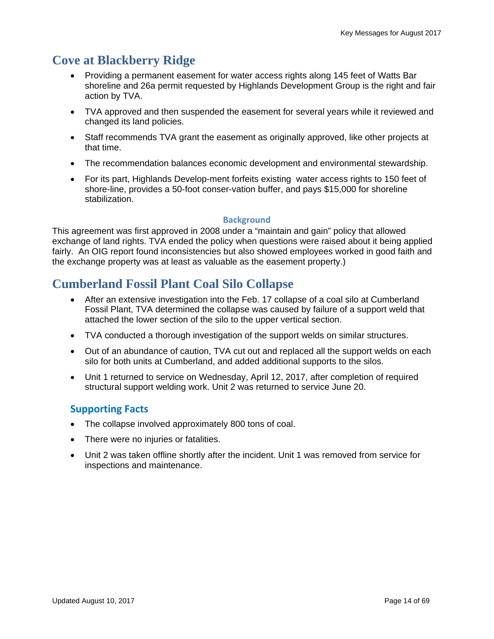# **Cove at Blackberry Ridge**

- Providing a permanent easement for water access rights along 145 feet of Watts Bar shoreline and 26a permit requested by Highlands Development Group is the right and fair action by TVA.
- TVA approved and then suspended the easement for several years while it reviewed and changed its land policies.
- Staff recommends TVA grant the easement as originally approved, like other projects at that time.
- The recommendation balances economic development and environmental stewardship.
- For its part, Highlands Develop-ment forfeits existing water access rights to 150 feet of shore-line, provides a 50-foot conser-vation buffer, and pays \$15,000 for shoreline stabilization.

#### **Background**

This agreement was first approved in 2008 under a "maintain and gain" policy that allowed exchange of land rights. TVA ended the policy when questions were raised about it being applied fairly. An OIG report found inconsistencies but also showed employees worked in good faith and the exchange property was at least as valuable as the easement property.)

# **Cumberland Fossil Plant Coal Silo Collapse**

- After an extensive investigation into the Feb. 17 collapse of a coal silo at Cumberland Fossil Plant, TVA determined the collapse was caused by failure of a support weld that attached the lower section of the silo to the upper vertical section.
- TVA conducted a thorough investigation of the support welds on similar structures.
- Out of an abundance of caution, TVA cut out and replaced all the support welds on each silo for both units at Cumberland, and added additional supports to the silos.
- Unit 1 returned to service on Wednesday, April 12, 2017, after completion of required structural support welding work. Unit 2 was returned to service June 20.

### **Supporting Facts**

- The collapse involved approximately 800 tons of coal.
- There were no injuries or fatalities.
- Unit 2 was taken offline shortly after the incident. Unit 1 was removed from service for inspections and maintenance.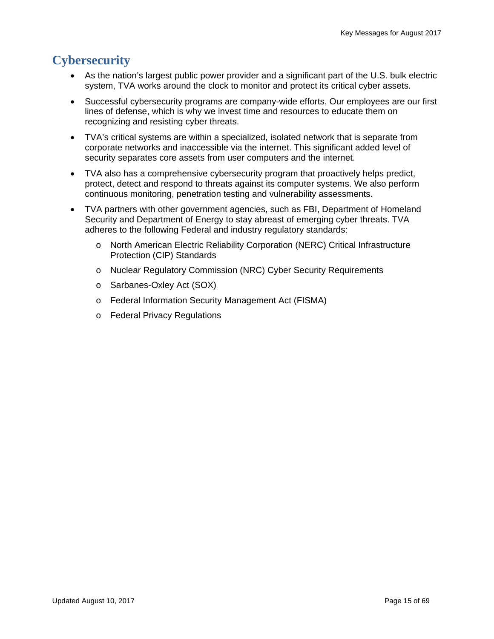# **Cybersecurity**

- As the nation's largest public power provider and a significant part of the U.S. bulk electric system, TVA works around the clock to monitor and protect its critical cyber assets.
- Successful cybersecurity programs are company-wide efforts. Our employees are our first lines of defense, which is why we invest time and resources to educate them on recognizing and resisting cyber threats.
- TVA's critical systems are within a specialized, isolated network that is separate from corporate networks and inaccessible via the internet. This significant added level of security separates core assets from user computers and the internet.
- TVA also has a comprehensive cybersecurity program that proactively helps predict, protect, detect and respond to threats against its computer systems. We also perform continuous monitoring, penetration testing and vulnerability assessments.
- TVA partners with other government agencies, such as FBI, Department of Homeland Security and Department of Energy to stay abreast of emerging cyber threats. TVA adheres to the following Federal and industry regulatory standards:
	- o North American Electric Reliability Corporation (NERC) Critical Infrastructure Protection (CIP) Standards
	- o Nuclear Regulatory Commission (NRC) Cyber Security Requirements
	- o Sarbanes-Oxley Act (SOX)
	- o Federal Information Security Management Act (FISMA)
	- o Federal Privacy Regulations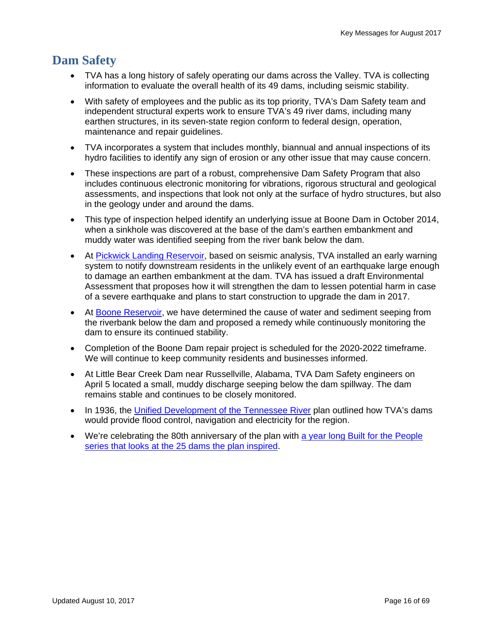# **Dam Safety**

- TVA has a long history of safely operating our dams across the Valley. TVA is collecting information to evaluate the overall health of its 49 dams, including seismic stability.
- With safety of employees and the public as its top priority, TVA's Dam Safety team and independent structural experts work to ensure TVA's 49 river dams, including many earthen structures, in its seven-state region conform to federal design, operation, maintenance and repair guidelines.
- TVA incorporates a system that includes monthly, biannual and annual inspections of its hydro facilities to identify any sign of erosion or any other issue that may cause concern.
- These inspections are part of a robust, comprehensive Dam Safety Program that also includes continuous electronic monitoring for vibrations, rigorous structural and geological assessments, and inspections that look not only at the surface of hydro structures, but also in the geology under and around the dams.
- This type of inspection helped identify an underlying issue at Boone Dam in October 2014, when a sinkhole was discovered at the base of the dam's earthen embankment and muddy water was identified seeping from the river bank below the dam.
- At Pickwick Landing Reservoir, based on seismic analysis, TVA installed an early warning system to notify downstream residents in the unlikely event of an earthquake large enough to damage an earthen embankment at the dam. TVA has issued a draft Environmental Assessment that proposes how it will strengthen the dam to lessen potential harm in case of a severe earthquake and plans to start construction to upgrade the dam in 2017.
- At Boone Reservoir, we have determined the cause of water and sediment seeping from the riverbank below the dam and proposed a remedy while continuously monitoring the dam to ensure its continued stability.
- Completion of the Boone Dam repair project is scheduled for the 2020-2022 timeframe. We will continue to keep community residents and businesses informed.
- At Little Bear Creek Dam near Russellville, Alabama, TVA Dam Safety engineers on April 5 located a small, muddy discharge seeping below the dam spillway. The dam remains stable and continues to be closely monitored.
- In 1936, the Unified Development of the Tennessee River plan outlined how TVA's dams would provide flood control, navigation and electricity for the region.
- We're celebrating the 80th anniversary of the plan with a year long Built for the People series that looks at the 25 dams the plan inspired.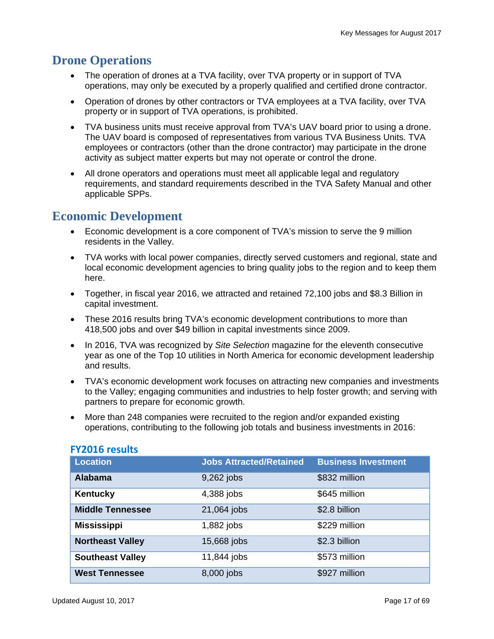## **Drone Operations**

- The operation of drones at a TVA facility, over TVA property or in support of TVA operations, may only be executed by a properly qualified and certified drone contractor.
- Operation of drones by other contractors or TVA employees at a TVA facility, over TVA property or in support of TVA operations, is prohibited.
- TVA business units must receive approval from TVA's UAV board prior to using a drone. The UAV board is composed of representatives from various TVA Business Units. TVA employees or contractors (other than the drone contractor) may participate in the drone activity as subject matter experts but may not operate or control the drone.
- All drone operators and operations must meet all applicable legal and regulatory requirements, and standard requirements described in the TVA Safety Manual and other applicable SPPs.

# **Economic Development**

- Economic development is a core component of TVA's mission to serve the 9 million residents in the Valley.
- TVA works with local power companies, directly served customers and regional, state and local economic development agencies to bring quality jobs to the region and to keep them here.
- Together, in fiscal year 2016, we attracted and retained 72,100 jobs and \$8.3 Billion in capital investment.
- These 2016 results bring TVA's economic development contributions to more than 418,500 jobs and over \$49 billion in capital investments since 2009.
- In 2016, TVA was recognized by Site Selection magazine for the eleventh consecutive year as one of the Top 10 utilities in North America for economic development leadership and results.
- TVA's economic development work focuses on attracting new companies and investments to the Valley; engaging communities and industries to help foster growth; and serving with partners to prepare for economic growth.
- More than 248 companies were recruited to the region and/or expanded existing operations, contributing to the following job totals and business investments in 2016:

| <b>Location</b>         | <b>Jobs Attracted/Retained</b> | <b>Business Investment</b> |
|-------------------------|--------------------------------|----------------------------|
| <b>Alabama</b>          | 9,262 jobs                     | \$832 million              |
| Kentucky                | 4,388 jobs                     | \$645 million              |
| <b>Middle Tennessee</b> | 21,064 jobs                    | \$2.8 billion              |
| <b>Mississippi</b>      | 1,882 jobs                     | \$229 million              |
| <b>Northeast Valley</b> | 15,668 jobs                    | \$2.3 billion              |
| <b>Southeast Valley</b> | 11,844 jobs                    | \$573 million              |
| <b>West Tennessee</b>   | 8,000 jobs                     | \$927 million              |

#### **FY2016 results**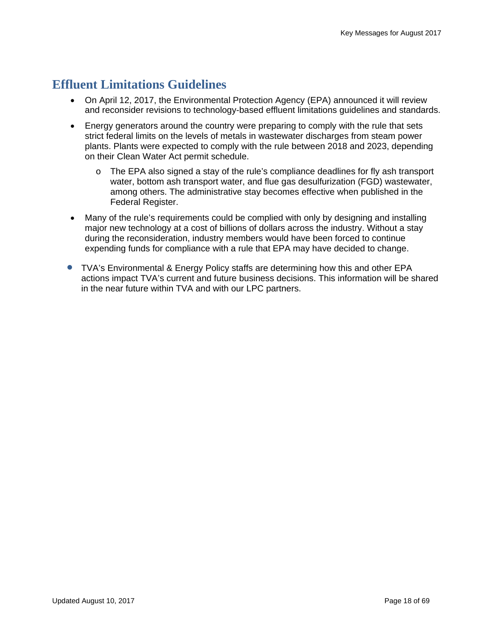# **Effluent Limitations Guidelines**

- On April 12, 2017, the Environmental Protection Agency (EPA) announced it will review and reconsider revisions to technology-based effluent limitations guidelines and standards.
- Energy generators around the country were preparing to comply with the rule that sets strict federal limits on the levels of metals in wastewater discharges from steam power plants. Plants were expected to comply with the rule between 2018 and 2023, depending on their Clean Water Act permit schedule.
	- o The EPA also signed a stay of the rule's compliance deadlines for fly ash transport water, bottom ash transport water, and flue gas desulfurization (FGD) wastewater, among others. The administrative stay becomes effective when published in the Federal Register.
- Many of the rule's requirements could be complied with only by designing and installing major new technology at a cost of billions of dollars across the industry. Without a stay during the reconsideration, industry members would have been forced to continue expending funds for compliance with a rule that EPA may have decided to change.
- TVA's Environmental & Energy Policy staffs are determining how this and other EPA actions impact TVA's current and future business decisions. This information will be shared in the near future within TVA and with our LPC partners.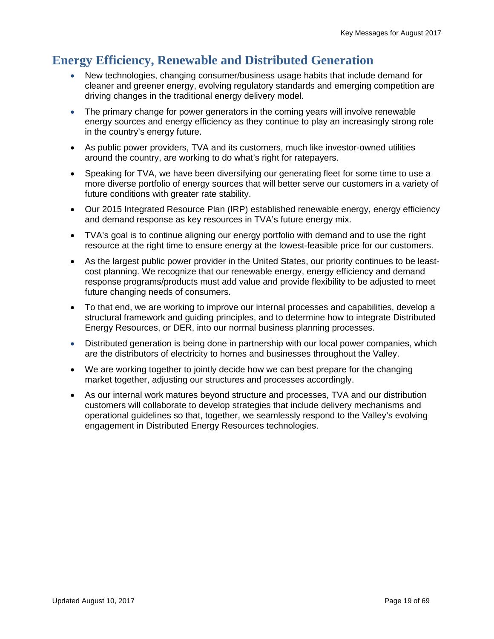# **Energy Efficiency, Renewable and Distributed Generation**

- New technologies, changing consumer/business usage habits that include demand for cleaner and greener energy, evolving regulatory standards and emerging competition are driving changes in the traditional energy delivery model.
- The primary change for power generators in the coming years will involve renewable energy sources and energy efficiency as they continue to play an increasingly strong role in the country's energy future.
- As public power providers, TVA and its customers, much like investor-owned utilities around the country, are working to do what's right for ratepayers.
- Speaking for TVA, we have been diversifying our generating fleet for some time to use a more diverse portfolio of energy sources that will better serve our customers in a variety of future conditions with greater rate stability.
- Our 2015 Integrated Resource Plan (IRP) established renewable energy, energy efficiency and demand response as key resources in TVA's future energy mix.
- TVA's goal is to continue aligning our energy portfolio with demand and to use the right resource at the right time to ensure energy at the lowest-feasible price for our customers.
- As the largest public power provider in the United States, our priority continues to be leastcost planning. We recognize that our renewable energy, energy efficiency and demand response programs/products must add value and provide flexibility to be adjusted to meet future changing needs of consumers.
- To that end, we are working to improve our internal processes and capabilities, develop a structural framework and guiding principles, and to determine how to integrate Distributed Energy Resources, or DER, into our normal business planning processes.
- Distributed generation is being done in partnership with our local power companies, which are the distributors of electricity to homes and businesses throughout the Valley.
- We are working together to jointly decide how we can best prepare for the changing market together, adjusting our structures and processes accordingly.
- As our internal work matures beyond structure and processes, TVA and our distribution customers will collaborate to develop strategies that include delivery mechanisms and operational guidelines so that, together, we seamlessly respond to the Valley's evolving engagement in Distributed Energy Resources technologies.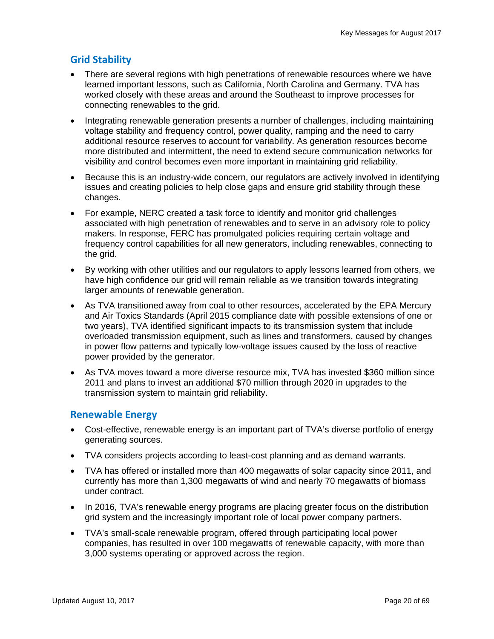### **Grid Stability**

- There are several regions with high penetrations of renewable resources where we have learned important lessons, such as California, North Carolina and Germany. TVA has worked closely with these areas and around the Southeast to improve processes for connecting renewables to the grid.
- Integrating renewable generation presents a number of challenges, including maintaining voltage stability and frequency control, power quality, ramping and the need to carry additional resource reserves to account for variability. As generation resources become more distributed and intermittent, the need to extend secure communication networks for visibility and control becomes even more important in maintaining grid reliability.
- Because this is an industry-wide concern, our regulators are actively involved in identifying issues and creating policies to help close gaps and ensure grid stability through these changes.
- For example, NERC created a task force to identify and monitor grid challenges associated with high penetration of renewables and to serve in an advisory role to policy makers. In response, FERC has promulgated policies requiring certain voltage and frequency control capabilities for all new generators, including renewables, connecting to the grid.
- By working with other utilities and our regulators to apply lessons learned from others, we have high confidence our grid will remain reliable as we transition towards integrating larger amounts of renewable generation.
- As TVA transitioned away from coal to other resources, accelerated by the EPA Mercury and Air Toxics Standards (April 2015 compliance date with possible extensions of one or two years), TVA identified significant impacts to its transmission system that include overloaded transmission equipment, such as lines and transformers, caused by changes in power flow patterns and typically low-voltage issues caused by the loss of reactive power provided by the generator.
- As TVA moves toward a more diverse resource mix, TVA has invested \$360 million since 2011 and plans to invest an additional \$70 million through 2020 in upgrades to the transmission system to maintain grid reliability.

### **Renewable Energy**

- Cost-effective, renewable energy is an important part of TVA's diverse portfolio of energy generating sources.
- TVA considers projects according to least-cost planning and as demand warrants.
- TVA has offered or installed more than 400 megawatts of solar capacity since 2011, and currently has more than 1,300 megawatts of wind and nearly 70 megawatts of biomass under contract.
- In 2016, TVA's renewable energy programs are placing greater focus on the distribution grid system and the increasingly important role of local power company partners.
- TVA's small-scale renewable program, offered through participating local power companies, has resulted in over 100 megawatts of renewable capacity, with more than 3,000 systems operating or approved across the region.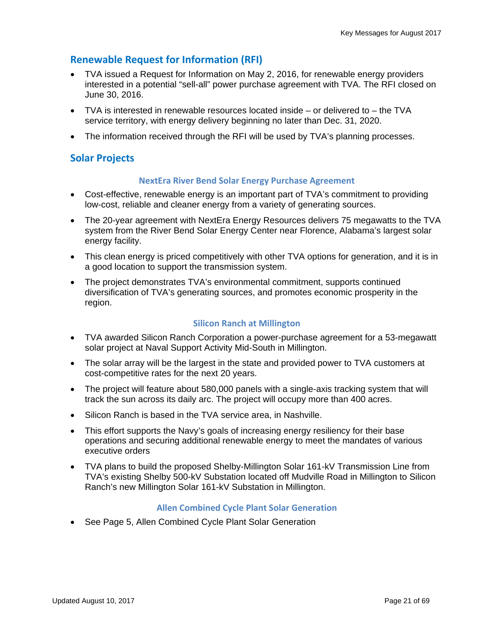### **Renewable Request for Information (RFI)**

- TVA issued a Request for Information on May 2, 2016, for renewable energy providers interested in a potential "sell-all" power purchase agreement with TVA. The RFI closed on June 30, 2016.
- TVA is interested in renewable resources located inside or delivered to the TVA service territory, with energy delivery beginning no later than Dec. 31, 2020.
- The information received through the RFI will be used by TVA's planning processes.

#### **Solar Projects**

#### **NextEra River Bend Solar Energy Purchase Agreement**

- Cost-effective, renewable energy is an important part of TVA's commitment to providing low-cost, reliable and cleaner energy from a variety of generating sources.
- The 20-year agreement with NextEra Energy Resources delivers 75 megawatts to the TVA system from the River Bend Solar Energy Center near Florence, Alabama's largest solar energy facility.
- This clean energy is priced competitively with other TVA options for generation, and it is in a good location to support the transmission system.
- The project demonstrates TVA's environmental commitment, supports continued diversification of TVA's generating sources, and promotes economic prosperity in the region.

#### **Silicon Ranch at Millington**

- TVA awarded Silicon Ranch Corporation a power-purchase agreement for a 53-megawatt solar project at Naval Support Activity Mid-South in Millington.
- The solar array will be the largest in the state and provided power to TVA customers at cost-competitive rates for the next 20 years.
- The project will feature about 580,000 panels with a single-axis tracking system that will track the sun across its daily arc. The project will occupy more than 400 acres.
- Silicon Ranch is based in the TVA service area, in Nashville.
- This effort supports the Navy's goals of increasing energy resiliency for their base operations and securing additional renewable energy to meet the mandates of various executive orders
- TVA plans to build the proposed Shelby-Millington Solar 161-kV Transmission Line from TVA's existing Shelby 500-kV Substation located off Mudville Road in Millington to Silicon Ranch's new Millington Solar 161-kV Substation in Millington.

#### **Allen Combined Cycle Plant Solar Generation**

See Page 5, Allen Combined Cycle Plant Solar Generation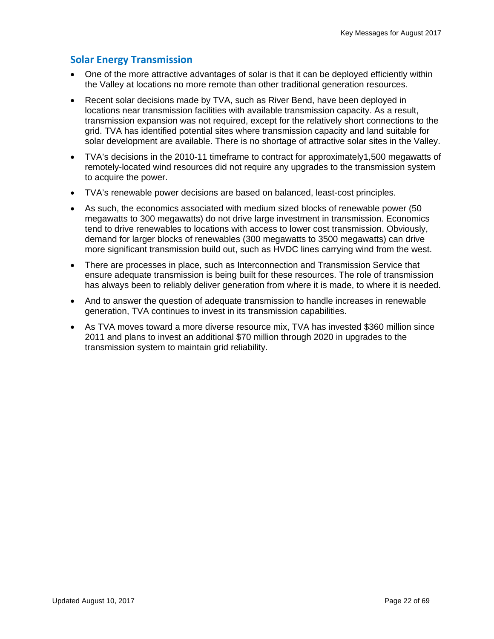### **Solar Energy Transmission**

- One of the more attractive advantages of solar is that it can be deployed efficiently within the Valley at locations no more remote than other traditional generation resources.
- Recent solar decisions made by TVA, such as River Bend, have been deployed in locations near transmission facilities with available transmission capacity. As a result, transmission expansion was not required, except for the relatively short connections to the grid. TVA has identified potential sites where transmission capacity and land suitable for solar development are available. There is no shortage of attractive solar sites in the Valley.
- TVA's decisions in the 2010-11 timeframe to contract for approximately1,500 megawatts of remotely-located wind resources did not require any upgrades to the transmission system to acquire the power.
- TVA's renewable power decisions are based on balanced, least-cost principles.
- As such, the economics associated with medium sized blocks of renewable power (50 megawatts to 300 megawatts) do not drive large investment in transmission. Economics tend to drive renewables to locations with access to lower cost transmission. Obviously, demand for larger blocks of renewables (300 megawatts to 3500 megawatts) can drive more significant transmission build out, such as HVDC lines carrying wind from the west.
- There are processes in place, such as Interconnection and Transmission Service that ensure adequate transmission is being built for these resources. The role of transmission has always been to reliably deliver generation from where it is made, to where it is needed.
- And to answer the question of adequate transmission to handle increases in renewable generation, TVA continues to invest in its transmission capabilities.
- As TVA moves toward a more diverse resource mix, TVA has invested \$360 million since 2011 and plans to invest an additional \$70 million through 2020 in upgrades to the transmission system to maintain grid reliability.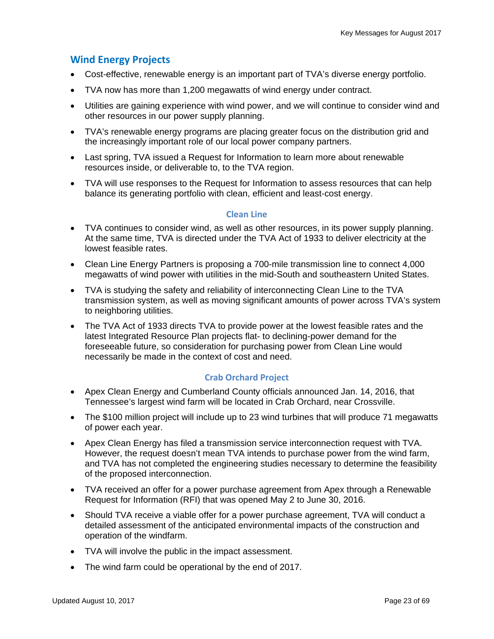#### **Wind Energy Projects**

- Cost-effective, renewable energy is an important part of TVA's diverse energy portfolio.
- TVA now has more than 1,200 megawatts of wind energy under contract.
- Utilities are gaining experience with wind power, and we will continue to consider wind and other resources in our power supply planning.
- TVA's renewable energy programs are placing greater focus on the distribution grid and the increasingly important role of our local power company partners.
- Last spring, TVA issued a Request for Information to learn more about renewable resources inside, or deliverable to, to the TVA region.
- TVA will use responses to the Request for Information to assess resources that can help balance its generating portfolio with clean, efficient and least-cost energy.

#### **Clean Line**

- TVA continues to consider wind, as well as other resources, in its power supply planning. At the same time, TVA is directed under the TVA Act of 1933 to deliver electricity at the lowest feasible rates.
- Clean Line Energy Partners is proposing a 700-mile transmission line to connect 4,000 megawatts of wind power with utilities in the mid-South and southeastern United States.
- TVA is studying the safety and reliability of interconnecting Clean Line to the TVA transmission system, as well as moving significant amounts of power across TVA's system to neighboring utilities.
- The TVA Act of 1933 directs TVA to provide power at the lowest feasible rates and the latest Integrated Resource Plan projects flat- to declining-power demand for the foreseeable future, so consideration for purchasing power from Clean Line would necessarily be made in the context of cost and need.

#### **Crab Orchard Project**

- Apex Clean Energy and Cumberland County officials announced Jan. 14, 2016, that Tennessee's largest wind farm will be located in Crab Orchard, near Crossville.
- The \$100 million project will include up to 23 wind turbines that will produce 71 megawatts of power each year.
- Apex Clean Energy has filed a transmission service interconnection request with TVA. However, the request doesn't mean TVA intends to purchase power from the wind farm, and TVA has not completed the engineering studies necessary to determine the feasibility of the proposed interconnection.
- TVA received an offer for a power purchase agreement from Apex through a Renewable Request for Information (RFI) that was opened May 2 to June 30, 2016.
- Should TVA receive a viable offer for a power purchase agreement, TVA will conduct a detailed assessment of the anticipated environmental impacts of the construction and operation of the windfarm.
- TVA will involve the public in the impact assessment.
- The wind farm could be operational by the end of 2017.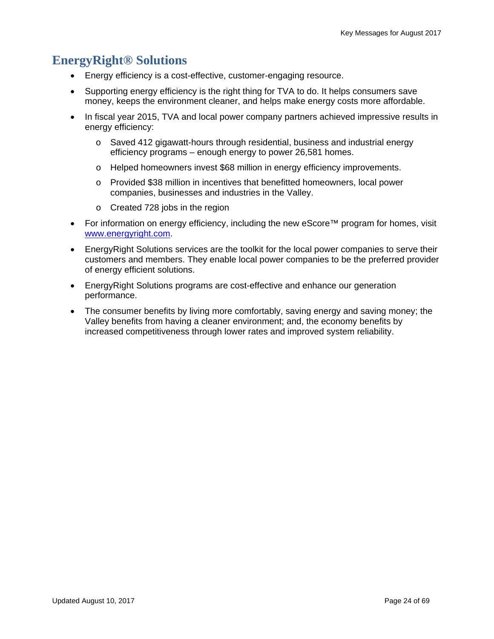# **EnergyRight® Solutions**

- Energy efficiency is a cost-effective, customer-engaging resource.
- Supporting energy efficiency is the right thing for TVA to do. It helps consumers save money, keeps the environment cleaner, and helps make energy costs more affordable.
- In fiscal year 2015, TVA and local power company partners achieved impressive results in energy efficiency:
	- o Saved 412 gigawatt-hours through residential, business and industrial energy efficiency programs – enough energy to power 26,581 homes.
	- o Helped homeowners invest \$68 million in energy efficiency improvements.
	- o Provided \$38 million in incentives that benefitted homeowners, local power companies, businesses and industries in the Valley.
	- o Created 728 jobs in the region
- For information on energy efficiency, including the new eScore™ program for homes, visit www.energyright.com.
- EnergyRight Solutions services are the toolkit for the local power companies to serve their customers and members. They enable local power companies to be the preferred provider of energy efficient solutions.
- EnergyRight Solutions programs are cost-effective and enhance our generation performance.
- The consumer benefits by living more comfortably, saving energy and saving money; the Valley benefits from having a cleaner environment; and, the economy benefits by increased competitiveness through lower rates and improved system reliability.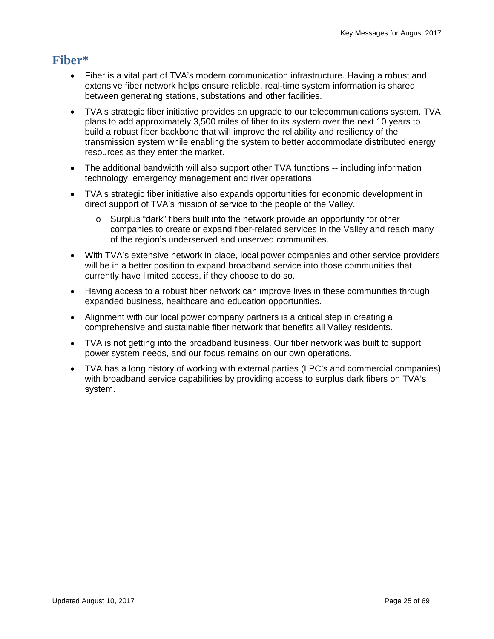### **Fiber\***

- Fiber is a vital part of TVA's modern communication infrastructure. Having a robust and extensive fiber network helps ensure reliable, real-time system information is shared between generating stations, substations and other facilities.
- TVA's strategic fiber initiative provides an upgrade to our telecommunications system. TVA plans to add approximately 3,500 miles of fiber to its system over the next 10 years to build a robust fiber backbone that will improve the reliability and resiliency of the transmission system while enabling the system to better accommodate distributed energy resources as they enter the market.
- The additional bandwidth will also support other TVA functions -- including information technology, emergency management and river operations.
- TVA's strategic fiber initiative also expands opportunities for economic development in direct support of TVA's mission of service to the people of the Valley.
	- Surplus "dark" fibers built into the network provide an opportunity for other companies to create or expand fiber-related services in the Valley and reach many of the region's underserved and unserved communities.
- With TVA's extensive network in place, local power companies and other service providers will be in a better position to expand broadband service into those communities that currently have limited access, if they choose to do so.
- Having access to a robust fiber network can improve lives in these communities through expanded business, healthcare and education opportunities.
- Alignment with our local power company partners is a critical step in creating a comprehensive and sustainable fiber network that benefits all Valley residents.
- TVA is not getting into the broadband business. Our fiber network was built to support power system needs, and our focus remains on our own operations.
- TVA has a long history of working with external parties (LPC's and commercial companies) with broadband service capabilities by providing access to surplus dark fibers on TVA's system.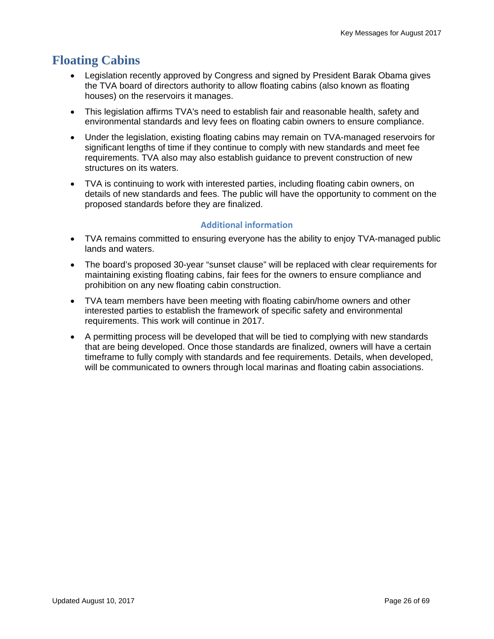# **Floating Cabins**

- Legislation recently approved by Congress and signed by President Barak Obama gives the TVA board of directors authority to allow floating cabins (also known as floating houses) on the reservoirs it manages.
- This legislation affirms TVA's need to establish fair and reasonable health, safety and environmental standards and levy fees on floating cabin owners to ensure compliance.
- Under the legislation, existing floating cabins may remain on TVA-managed reservoirs for significant lengths of time if they continue to comply with new standards and meet fee requirements. TVA also may also establish guidance to prevent construction of new structures on its waters.
- TVA is continuing to work with interested parties, including floating cabin owners, on details of new standards and fees. The public will have the opportunity to comment on the proposed standards before they are finalized.

#### **Additional information**

- TVA remains committed to ensuring everyone has the ability to enjoy TVA-managed public lands and waters.
- The board's proposed 30-year "sunset clause" will be replaced with clear requirements for maintaining existing floating cabins, fair fees for the owners to ensure compliance and prohibition on any new floating cabin construction.
- TVA team members have been meeting with floating cabin/home owners and other interested parties to establish the framework of specific safety and environmental requirements. This work will continue in 2017.
- A permitting process will be developed that will be tied to complying with new standards that are being developed. Once those standards are finalized, owners will have a certain timeframe to fully comply with standards and fee requirements. Details, when developed, will be communicated to owners through local marinas and floating cabin associations.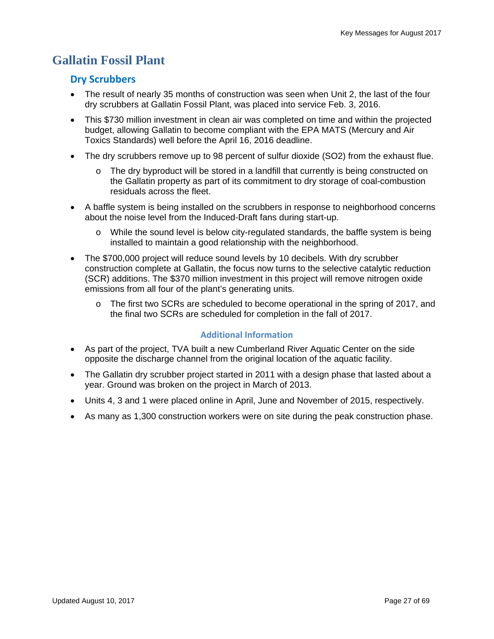# **Gallatin Fossil Plant**

### **Dry Scrubbers**

- The result of nearly 35 months of construction was seen when Unit 2, the last of the four dry scrubbers at Gallatin Fossil Plant, was placed into service Feb. 3, 2016.
- This \$730 million investment in clean air was completed on time and within the projected budget, allowing Gallatin to become compliant with the EPA MATS (Mercury and Air Toxics Standards) well before the April 16, 2016 deadline.
- The dry scrubbers remove up to 98 percent of sulfur dioxide (SO2) from the exhaust flue.
	- $\circ$  The dry byproduct will be stored in a landfill that currently is being constructed on the Gallatin property as part of its commitment to dry storage of coal-combustion residuals across the fleet.
- A baffle system is being installed on the scrubbers in response to neighborhood concerns about the noise level from the Induced-Draft fans during start-up.
	- $\circ$  While the sound level is below city-regulated standards, the baffle system is being installed to maintain a good relationship with the neighborhood.
- The \$700,000 project will reduce sound levels by 10 decibels. With dry scrubber construction complete at Gallatin, the focus now turns to the selective catalytic reduction (SCR) additions. The \$370 million investment in this project will remove nitrogen oxide emissions from all four of the plant's generating units.
	- The first two SCRs are scheduled to become operational in the spring of 2017, and the final two SCRs are scheduled for completion in the fall of 2017.

#### **Additional Information**

- As part of the project, TVA built a new Cumberland River Aquatic Center on the side opposite the discharge channel from the original location of the aquatic facility.
- The Gallatin dry scrubber project started in 2011 with a design phase that lasted about a year. Ground was broken on the project in March of 2013.
- Units 4, 3 and 1 were placed online in April, June and November of 2015, respectively.
- As many as 1,300 construction workers were on site during the peak construction phase.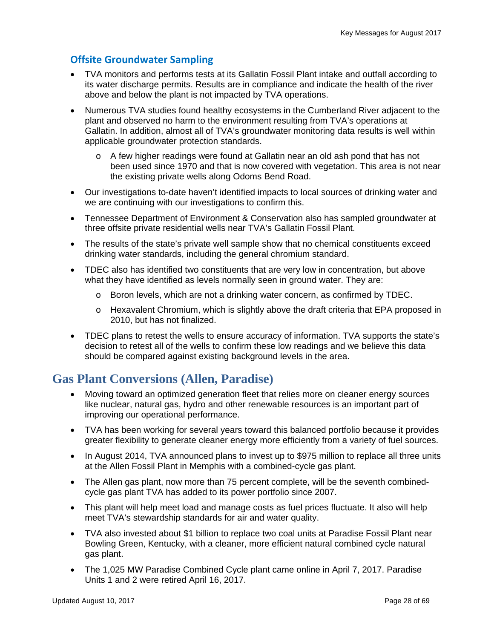### **Offsite Groundwater Sampling**

- TVA monitors and performs tests at its Gallatin Fossil Plant intake and outfall according to its water discharge permits. Results are in compliance and indicate the health of the river above and below the plant is not impacted by TVA operations.
- Numerous TVA studies found healthy ecosystems in the Cumberland River adjacent to the plant and observed no harm to the environment resulting from TVA's operations at Gallatin. In addition, almost all of TVA's groundwater monitoring data results is well within applicable groundwater protection standards.
	- $\circ$  A few higher readings were found at Gallatin near an old ash pond that has not been used since 1970 and that is now covered with vegetation. This area is not near the existing private wells along Odoms Bend Road.
- Our investigations to-date haven't identified impacts to local sources of drinking water and we are continuing with our investigations to confirm this.
- Tennessee Department of Environment & Conservation also has sampled groundwater at three offsite private residential wells near TVA's Gallatin Fossil Plant.
- The results of the state's private well sample show that no chemical constituents exceed drinking water standards, including the general chromium standard.
- TDEC also has identified two constituents that are very low in concentration, but above what they have identified as levels normally seen in ground water. They are:
	- $\circ$  Boron levels, which are not a drinking water concern, as confirmed by TDEC.
	- o Hexavalent Chromium, which is slightly above the draft criteria that EPA proposed in 2010, but has not finalized.
- TDEC plans to retest the wells to ensure accuracy of information. TVA supports the state's decision to retest all of the wells to confirm these low readings and we believe this data should be compared against existing background levels in the area.

### **Gas Plant Conversions (Allen, Paradise)**

- Moving toward an optimized generation fleet that relies more on cleaner energy sources like nuclear, natural gas, hydro and other renewable resources is an important part of improving our operational performance.
- TVA has been working for several years toward this balanced portfolio because it provides greater flexibility to generate cleaner energy more efficiently from a variety of fuel sources.
- In August 2014, TVA announced plans to invest up to \$975 million to replace all three units at the Allen Fossil Plant in Memphis with a combined-cycle gas plant.
- The Allen gas plant, now more than 75 percent complete, will be the seventh combinedcycle gas plant TVA has added to its power portfolio since 2007.
- This plant will help meet load and manage costs as fuel prices fluctuate. It also will help meet TVA's stewardship standards for air and water quality.
- TVA also invested about \$1 billion to replace two coal units at Paradise Fossil Plant near Bowling Green, Kentucky, with a cleaner, more efficient natural combined cycle natural gas plant.
- The 1,025 MW Paradise Combined Cycle plant came online in April 7, 2017. Paradise Units 1 and 2 were retired April 16, 2017.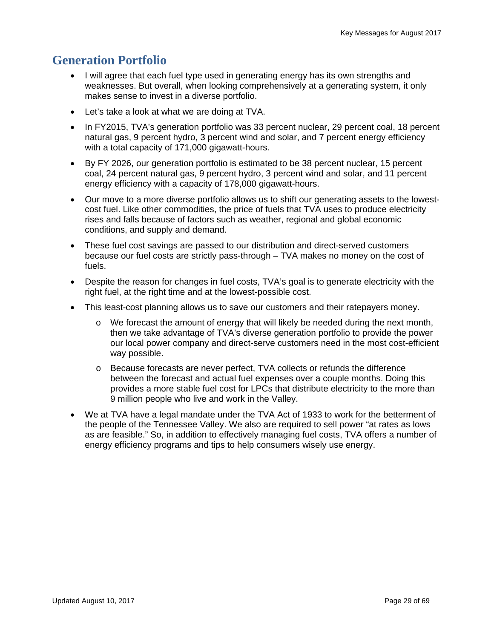# **Generation Portfolio**

- I will agree that each fuel type used in generating energy has its own strengths and weaknesses. But overall, when looking comprehensively at a generating system, it only makes sense to invest in a diverse portfolio.
- Let's take a look at what we are doing at TVA.
- In FY2015, TVA's generation portfolio was 33 percent nuclear, 29 percent coal, 18 percent natural gas, 9 percent hydro, 3 percent wind and solar, and 7 percent energy efficiency with a total capacity of 171,000 gigawatt-hours.
- By FY 2026, our generation portfolio is estimated to be 38 percent nuclear, 15 percent coal, 24 percent natural gas, 9 percent hydro, 3 percent wind and solar, and 11 percent energy efficiency with a capacity of 178,000 gigawatt-hours.
- Our move to a more diverse portfolio allows us to shift our generating assets to the lowestcost fuel. Like other commodities, the price of fuels that TVA uses to produce electricity rises and falls because of factors such as weather, regional and global economic conditions, and supply and demand.
- These fuel cost savings are passed to our distribution and direct-served customers because our fuel costs are strictly pass-through – TVA makes no money on the cost of fuels.
- Despite the reason for changes in fuel costs, TVA's goal is to generate electricity with the right fuel, at the right time and at the lowest-possible cost.
- This least-cost planning allows us to save our customers and their ratepayers money.
	- $\circ$  We forecast the amount of energy that will likely be needed during the next month, then we take advantage of TVA's diverse generation portfolio to provide the power our local power company and direct-serve customers need in the most cost-efficient way possible.
	- o Because forecasts are never perfect, TVA collects or refunds the difference between the forecast and actual fuel expenses over a couple months. Doing this provides a more stable fuel cost for LPCs that distribute electricity to the more than 9 million people who live and work in the Valley.
- We at TVA have a legal mandate under the TVA Act of 1933 to work for the betterment of the people of the Tennessee Valley. We also are required to sell power "at rates as lows as are feasible." So, in addition to effectively managing fuel costs, TVA offers a number of energy efficiency programs and tips to help consumers wisely use energy.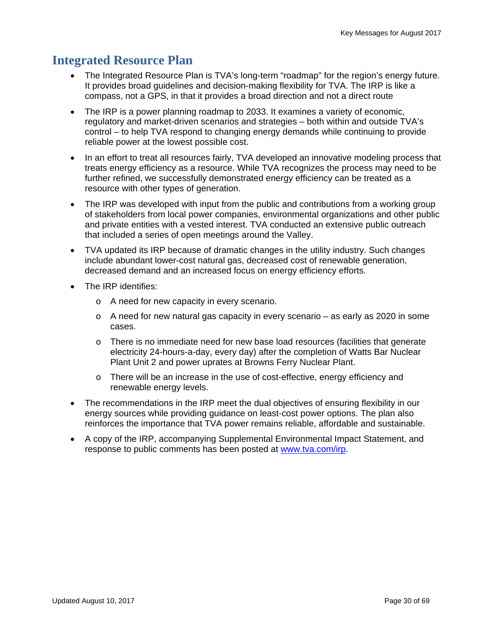### **Integrated Resource Plan**

- The Integrated Resource Plan is TVA's long-term "roadmap" for the region's energy future. It provides broad guidelines and decision-making flexibility for TVA. The IRP is like a compass, not a GPS, in that it provides a broad direction and not a direct route
- The IRP is a power planning roadmap to 2033. It examines a variety of economic, regulatory and market-driven scenarios and strategies – both within and outside TVA's control – to help TVA respond to changing energy demands while continuing to provide reliable power at the lowest possible cost.
- In an effort to treat all resources fairly, TVA developed an innovative modeling process that treats energy efficiency as a resource. While TVA recognizes the process may need to be further refined, we successfully demonstrated energy efficiency can be treated as a resource with other types of generation.
- The IRP was developed with input from the public and contributions from a working group of stakeholders from local power companies, environmental organizations and other public and private entities with a vested interest. TVA conducted an extensive public outreach that included a series of open meetings around the Valley.
- TVA updated its IRP because of dramatic changes in the utility industry. Such changes include abundant lower-cost natural gas, decreased cost of renewable generation, decreased demand and an increased focus on energy efficiency efforts.
- The IRP identifies:
	- o A need for new capacity in every scenario.
	- $\circ$  A need for new natural gas capacity in every scenario as early as 2020 in some cases.
	- o There is no immediate need for new base load resources (facilities that generate electricity 24-hours-a-day, every day) after the completion of Watts Bar Nuclear Plant Unit 2 and power uprates at Browns Ferry Nuclear Plant.
	- o There will be an increase in the use of cost-effective, energy efficiency and renewable energy levels.
- The recommendations in the IRP meet the dual objectives of ensuring flexibility in our energy sources while providing guidance on least-cost power options. The plan also reinforces the importance that TVA power remains reliable, affordable and sustainable.
- A copy of the IRP, accompanying Supplemental Environmental Impact Statement, and response to public comments has been posted at www.tva.com/irp.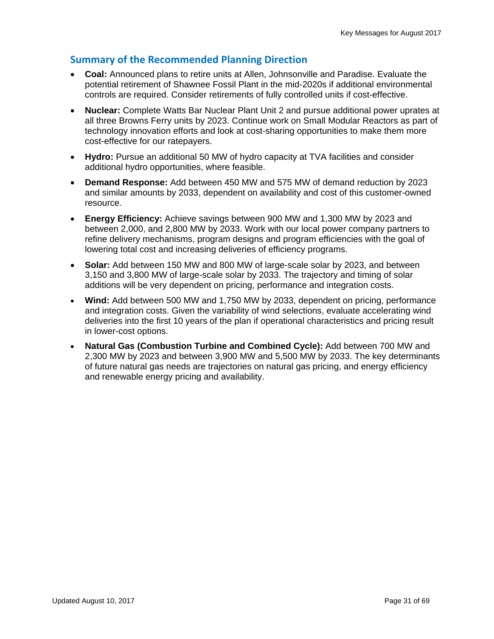#### **Summary of the Recommended Planning Direction**

- **Coal:** Announced plans to retire units at Allen, Johnsonville and Paradise. Evaluate the potential retirement of Shawnee Fossil Plant in the mid-2020s if additional environmental controls are required. Consider retirements of fully controlled units if cost-effective.
- **Nuclear:** Complete Watts Bar Nuclear Plant Unit 2 and pursue additional power uprates at all three Browns Ferry units by 2023. Continue work on Small Modular Reactors as part of technology innovation efforts and look at cost-sharing opportunities to make them more cost-effective for our ratepayers.
- **Hydro:** Pursue an additional 50 MW of hydro capacity at TVA facilities and consider additional hydro opportunities, where feasible.
- **Demand Response:** Add between 450 MW and 575 MW of demand reduction by 2023 and similar amounts by 2033, dependent on availability and cost of this customer-owned resource.
- **Energy Efficiency:** Achieve savings between 900 MW and 1,300 MW by 2023 and between 2,000, and 2,800 MW by 2033. Work with our local power company partners to refine delivery mechanisms, program designs and program efficiencies with the goal of lowering total cost and increasing deliveries of efficiency programs.
- **Solar:** Add between 150 MW and 800 MW of large-scale solar by 2023, and between 3,150 and 3,800 MW of large-scale solar by 2033. The trajectory and timing of solar additions will be very dependent on pricing, performance and integration costs.
- **Wind:** Add between 500 MW and 1,750 MW by 2033, dependent on pricing, performance and integration costs. Given the variability of wind selections, evaluate accelerating wind deliveries into the first 10 years of the plan if operational characteristics and pricing result in lower-cost options.
- **Natural Gas (Combustion Turbine and Combined Cycle):** Add between 700 MW and 2,300 MW by 2023 and between 3,900 MW and 5,500 MW by 2033. The key determinants of future natural gas needs are trajectories on natural gas pricing, and energy efficiency and renewable energy pricing and availability.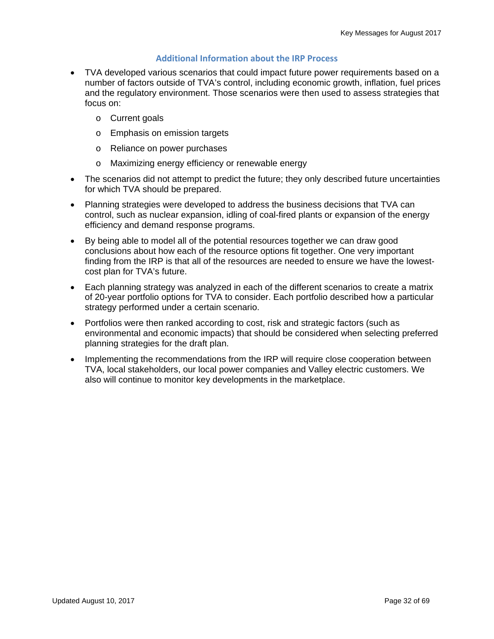#### **Additional Information about the IRP Process**

- TVA developed various scenarios that could impact future power requirements based on a number of factors outside of TVA's control, including economic growth, inflation, fuel prices and the regulatory environment. Those scenarios were then used to assess strategies that focus on:
	- o Current goals
	- o Emphasis on emission targets
	- o Reliance on power purchases
	- o Maximizing energy efficiency or renewable energy
- The scenarios did not attempt to predict the future; they only described future uncertainties for which TVA should be prepared.
- Planning strategies were developed to address the business decisions that TVA can control, such as nuclear expansion, idling of coal-fired plants or expansion of the energy efficiency and demand response programs.
- By being able to model all of the potential resources together we can draw good conclusions about how each of the resource options fit together. One very important finding from the IRP is that all of the resources are needed to ensure we have the lowestcost plan for TVA's future.
- Each planning strategy was analyzed in each of the different scenarios to create a matrix of 20-year portfolio options for TVA to consider. Each portfolio described how a particular strategy performed under a certain scenario.
- Portfolios were then ranked according to cost, risk and strategic factors (such as environmental and economic impacts) that should be considered when selecting preferred planning strategies for the draft plan.
- Implementing the recommendations from the IRP will require close cooperation between TVA, local stakeholders, our local power companies and Valley electric customers. We also will continue to monitor key developments in the marketplace.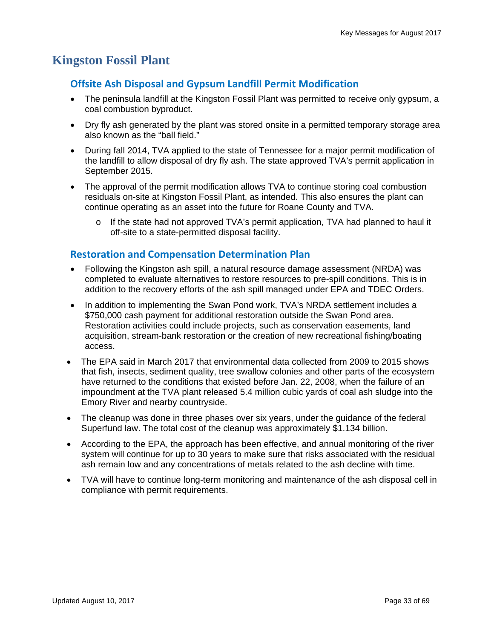# **Kingston Fossil Plant**

#### **Offsite Ash Disposal and Gypsum Landfill Permit Modification**

- The peninsula landfill at the Kingston Fossil Plant was permitted to receive only gypsum, a coal combustion byproduct.
- Dry fly ash generated by the plant was stored onsite in a permitted temporary storage area also known as the "ball field."
- During fall 2014, TVA applied to the state of Tennessee for a major permit modification of the landfill to allow disposal of dry fly ash. The state approved TVA's permit application in September 2015.
- The approval of the permit modification allows TVA to continue storing coal combustion residuals on-site at Kingston Fossil Plant, as intended. This also ensures the plant can continue operating as an asset into the future for Roane County and TVA.
	- o If the state had not approved TVA's permit application, TVA had planned to haul it off-site to a state-permitted disposal facility.

#### **Restoration and Compensation Determination Plan**

- Following the Kingston ash spill, a natural resource damage assessment (NRDA) was completed to evaluate alternatives to restore resources to pre-spill conditions. This is in addition to the recovery efforts of the ash spill managed under EPA and TDEC Orders.
- In addition to implementing the Swan Pond work, TVA's NRDA settlement includes a \$750,000 cash payment for additional restoration outside the Swan Pond area. Restoration activities could include projects, such as conservation easements, land acquisition, stream-bank restoration or the creation of new recreational fishing/boating access.
- The EPA said in March 2017 that environmental data collected from 2009 to 2015 shows that fish, insects, sediment quality, tree swallow colonies and other parts of the ecosystem have returned to the conditions that existed before Jan. 22, 2008, when the failure of an impoundment at the TVA plant released 5.4 million cubic yards of coal ash sludge into the Emory River and nearby countryside.
- The cleanup was done in three phases over six years, under the quidance of the federal Superfund law. The total cost of the cleanup was approximately \$1.134 billion.
- According to the EPA, the approach has been effective, and annual monitoring of the river system will continue for up to 30 years to make sure that risks associated with the residual ash remain low and any concentrations of metals related to the ash decline with time.
- TVA will have to continue long-term monitoring and maintenance of the ash disposal cell in compliance with permit requirements.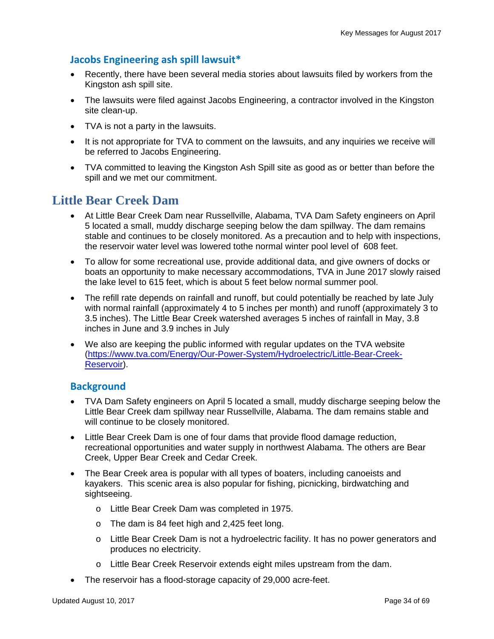### **Jacobs Engineering ash spill lawsuit\***

- Recently, there have been several media stories about lawsuits filed by workers from the Kingston ash spill site.
- The lawsuits were filed against Jacobs Engineering, a contractor involved in the Kingston site clean-up.
- TVA is not a party in the lawsuits.
- It is not appropriate for TVA to comment on the lawsuits, and any inquiries we receive will be referred to Jacobs Engineering.
- TVA committed to leaving the Kingston Ash Spill site as good as or better than before the spill and we met our commitment.

### **Little Bear Creek Dam**

- At Little Bear Creek Dam near Russellville, Alabama, TVA Dam Safety engineers on April 5 located a small, muddy discharge seeping below the dam spillway. The dam remains stable and continues to be closely monitored. As a precaution and to help with inspections, the reservoir water level was lowered tothe normal winter pool level of 608 feet.
- To allow for some recreational use, provide additional data, and give owners of docks or boats an opportunity to make necessary accommodations, TVA in June 2017 slowly raised the lake level to 615 feet, which is about 5 feet below normal summer pool.
- The refill rate depends on rainfall and runoff, but could potentially be reached by late July with normal rainfall (approximately 4 to 5 inches per month) and runoff (approximately 3 to 3.5 inches). The Little Bear Creek watershed averages 5 inches of rainfall in May, 3.8 inches in June and 3.9 inches in July
- We also are keeping the public informed with regular updates on the TVA website (https://www.tva.com/Energy/Our-Power-System/Hydroelectric/Little-Bear-Creek-Reservoir).

#### **Background**

- TVA Dam Safety engineers on April 5 located a small, muddy discharge seeping below the Little Bear Creek dam spillway near Russellville, Alabama. The dam remains stable and will continue to be closely monitored.
- Little Bear Creek Dam is one of four dams that provide flood damage reduction, recreational opportunities and water supply in northwest Alabama. The others are Bear Creek, Upper Bear Creek and Cedar Creek.
- The Bear Creek area is popular with all types of boaters, including canoeists and kayakers. This scenic area is also popular for fishing, picnicking, birdwatching and sightseeing.
	- o Little Bear Creek Dam was completed in 1975.
	- o The dam is 84 feet high and 2,425 feet long.
	- o Little Bear Creek Dam is not a hydroelectric facility. It has no power generators and produces no electricity.
	- o Little Bear Creek Reservoir extends eight miles upstream from the dam.
- The reservoir has a flood-storage capacity of 29,000 acre-feet.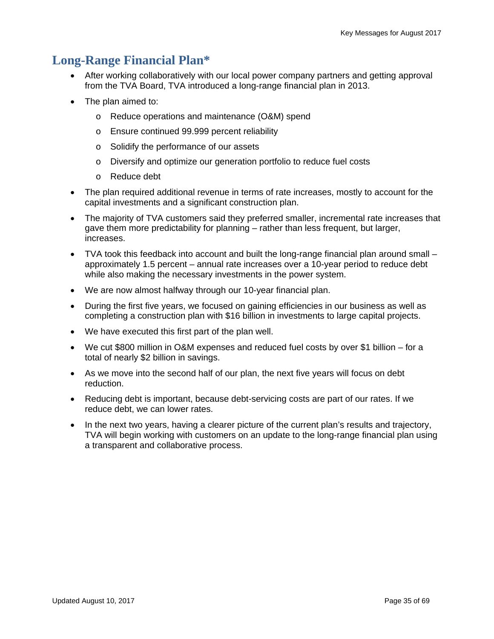## **Long-Range Financial Plan\***

- After working collaboratively with our local power company partners and getting approval from the TVA Board, TVA introduced a long-range financial plan in 2013.
- The plan aimed to:
	- o Reduce operations and maintenance (O&M) spend
	- o Ensure continued 99.999 percent reliability
	- o Solidify the performance of our assets
	- o Diversify and optimize our generation portfolio to reduce fuel costs
	- o Reduce debt
- The plan required additional revenue in terms of rate increases, mostly to account for the capital investments and a significant construction plan.
- The majority of TVA customers said they preferred smaller, incremental rate increases that gave them more predictability for planning – rather than less frequent, but larger, increases.
- TVA took this feedback into account and built the long-range financial plan around small approximately 1.5 percent – annual rate increases over a 10-year period to reduce debt while also making the necessary investments in the power system.
- We are now almost halfway through our 10-year financial plan.
- During the first five years, we focused on gaining efficiencies in our business as well as completing a construction plan with \$16 billion in investments to large capital projects.
- We have executed this first part of the plan well.
- We cut \$800 million in O&M expenses and reduced fuel costs by over \$1 billion for a total of nearly \$2 billion in savings.
- As we move into the second half of our plan, the next five years will focus on debt reduction.
- Reducing debt is important, because debt-servicing costs are part of our rates. If we reduce debt, we can lower rates.
- In the next two years, having a clearer picture of the current plan's results and trajectory, TVA will begin working with customers on an update to the long-range financial plan using a transparent and collaborative process.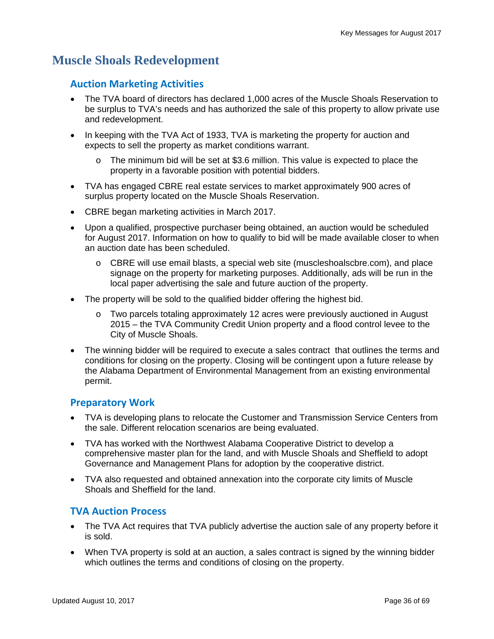## **Muscle Shoals Redevelopment**

#### **Auction Marketing Activities**

- The TVA board of directors has declared 1,000 acres of the Muscle Shoals Reservation to be surplus to TVA's needs and has authorized the sale of this property to allow private use and redevelopment.
- In keeping with the TVA Act of 1933, TVA is marketing the property for auction and expects to sell the property as market conditions warrant.
	- $\circ$  The minimum bid will be set at \$3.6 million. This value is expected to place the property in a favorable position with potential bidders.
- TVA has engaged CBRE real estate services to market approximately 900 acres of surplus property located on the Muscle Shoals Reservation.
- CBRE began marketing activities in March 2017.
- Upon a qualified, prospective purchaser being obtained, an auction would be scheduled for August 2017. Information on how to qualify to bid will be made available closer to when an auction date has been scheduled.
	- $\circ$  CBRE will use email blasts, a special web site (muscleshoalscbre.com), and place signage on the property for marketing purposes. Additionally, ads will be run in the local paper advertising the sale and future auction of the property.
- The property will be sold to the qualified bidder offering the highest bid.
	- o Two parcels totaling approximately 12 acres were previously auctioned in August 2015 – the TVA Community Credit Union property and a flood control levee to the City of Muscle Shoals.
- The winning bidder will be required to execute a sales contract that outlines the terms and conditions for closing on the property. Closing will be contingent upon a future release by the Alabama Department of Environmental Management from an existing environmental permit.

#### **Preparatory Work**

- TVA is developing plans to relocate the Customer and Transmission Service Centers from the sale. Different relocation scenarios are being evaluated.
- TVA has worked with the Northwest Alabama Cooperative District to develop a comprehensive master plan for the land, and with Muscle Shoals and Sheffield to adopt Governance and Management Plans for adoption by the cooperative district.
- TVA also requested and obtained annexation into the corporate city limits of Muscle Shoals and Sheffield for the land.

#### **TVA Auction Process**

- The TVA Act requires that TVA publicly advertise the auction sale of any property before it is sold.
- When TVA property is sold at an auction, a sales contract is signed by the winning bidder which outlines the terms and conditions of closing on the property.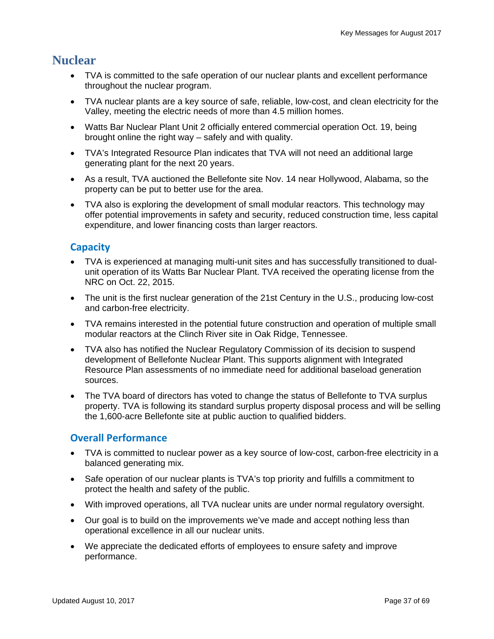### **Nuclear**

- TVA is committed to the safe operation of our nuclear plants and excellent performance throughout the nuclear program.
- TVA nuclear plants are a key source of safe, reliable, low-cost, and clean electricity for the Valley, meeting the electric needs of more than 4.5 million homes.
- Watts Bar Nuclear Plant Unit 2 officially entered commercial operation Oct. 19, being brought online the right way – safely and with quality.
- TVA's Integrated Resource Plan indicates that TVA will not need an additional large generating plant for the next 20 years.
- As a result, TVA auctioned the Bellefonte site Nov. 14 near Hollywood, Alabama, so the property can be put to better use for the area.
- TVA also is exploring the development of small modular reactors. This technology may offer potential improvements in safety and security, reduced construction time, less capital expenditure, and lower financing costs than larger reactors.

### **Capacity**

- TVA is experienced at managing multi-unit sites and has successfully transitioned to dualunit operation of its Watts Bar Nuclear Plant. TVA received the operating license from the NRC on Oct. 22, 2015.
- The unit is the first nuclear generation of the 21st Century in the U.S., producing low-cost and carbon-free electricity.
- TVA remains interested in the potential future construction and operation of multiple small modular reactors at the Clinch River site in Oak Ridge, Tennessee.
- TVA also has notified the Nuclear Regulatory Commission of its decision to suspend development of Bellefonte Nuclear Plant. This supports alignment with Integrated Resource Plan assessments of no immediate need for additional baseload generation sources.
- The TVA board of directors has voted to change the status of Bellefonte to TVA surplus property. TVA is following its standard surplus property disposal process and will be selling the 1,600-acre Bellefonte site at public auction to qualified bidders.

### **Overall Performance**

- TVA is committed to nuclear power as a key source of low-cost, carbon-free electricity in a balanced generating mix.
- Safe operation of our nuclear plants is TVA's top priority and fulfills a commitment to protect the health and safety of the public.
- With improved operations, all TVA nuclear units are under normal regulatory oversight.
- Our goal is to build on the improvements we've made and accept nothing less than operational excellence in all our nuclear units.
- We appreciate the dedicated efforts of employees to ensure safety and improve performance.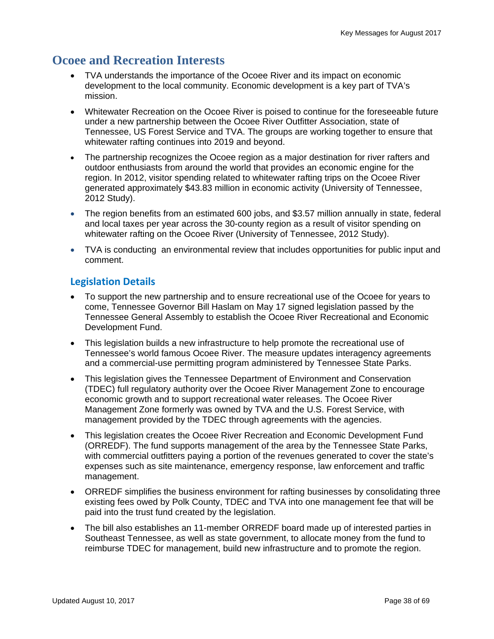# **Ocoee and Recreation Interests**

- TVA understands the importance of the Ocoee River and its impact on economic development to the local community. Economic development is a key part of TVA's mission.
- Whitewater Recreation on the Ocoee River is poised to continue for the foreseeable future under a new partnership between the Ocoee River Outfitter Association, state of Tennessee, US Forest Service and TVA. The groups are working together to ensure that whitewater rafting continues into 2019 and beyond.
- The partnership recognizes the Ocoee region as a major destination for river rafters and outdoor enthusiasts from around the world that provides an economic engine for the region. In 2012, visitor spending related to whitewater rafting trips on the Ocoee River generated approximately \$43.83 million in economic activity (University of Tennessee, 2012 Study).
- The region benefits from an estimated 600 jobs, and \$3.57 million annually in state, federal and local taxes per year across the 30-county region as a result of visitor spending on whitewater rafting on the Ocoee River (University of Tennessee, 2012 Study).
- TVA is conducting an environmental review that includes opportunities for public input and comment.

### **Legislation Details**

- To support the new partnership and to ensure recreational use of the Ocoee for years to come, Tennessee Governor Bill Haslam on May 17 signed legislation passed by the Tennessee General Assembly to establish the Ocoee River Recreational and Economic Development Fund.
- This legislation builds a new infrastructure to help promote the recreational use of Tennessee's world famous Ocoee River. The measure updates interagency agreements and a commercial-use permitting program administered by Tennessee State Parks.
- This legislation gives the Tennessee Department of Environment and Conservation (TDEC) full regulatory authority over the Ocoee River Management Zone to encourage economic growth and to support recreational water releases. The Ocoee River Management Zone formerly was owned by TVA and the U.S. Forest Service, with management provided by the TDEC through agreements with the agencies.
- This legislation creates the Ocoee River Recreation and Economic Development Fund (ORREDF). The fund supports management of the area by the Tennessee State Parks, with commercial outfitters paying a portion of the revenues generated to cover the state's expenses such as site maintenance, emergency response, law enforcement and traffic management.
- ORREDF simplifies the business environment for rafting businesses by consolidating three existing fees owed by Polk County, TDEC and TVA into one management fee that will be paid into the trust fund created by the legislation.
- The bill also establishes an 11-member ORREDF board made up of interested parties in Southeast Tennessee, as well as state government, to allocate money from the fund to reimburse TDEC for management, build new infrastructure and to promote the region.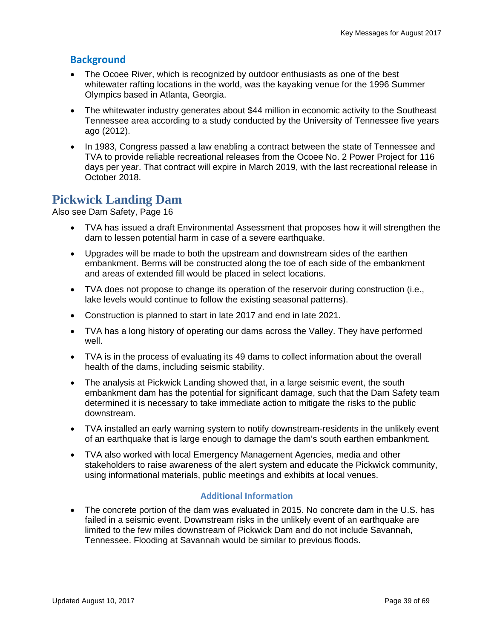### **Background**

- The Ocoee River, which is recognized by outdoor enthusiasts as one of the best whitewater rafting locations in the world, was the kayaking venue for the 1996 Summer Olympics based in Atlanta, Georgia.
- The whitewater industry generates about \$44 million in economic activity to the Southeast Tennessee area according to a study conducted by the University of Tennessee five years ago (2012).
- In 1983, Congress passed a law enabling a contract between the state of Tennessee and TVA to provide reliable recreational releases from the Ocoee No. 2 Power Project for 116 days per year. That contract will expire in March 2019, with the last recreational release in October 2018.

### **Pickwick Landing Dam**

Also see Dam Safety, Page 16

- TVA has issued a draft Environmental Assessment that proposes how it will strengthen the dam to lessen potential harm in case of a severe earthquake.
- Upgrades will be made to both the upstream and downstream sides of the earthen embankment. Berms will be constructed along the toe of each side of the embankment and areas of extended fill would be placed in select locations.
- TVA does not propose to change its operation of the reservoir during construction (i.e., lake levels would continue to follow the existing seasonal patterns).
- Construction is planned to start in late 2017 and end in late 2021.
- TVA has a long history of operating our dams across the Valley. They have performed well.
- TVA is in the process of evaluating its 49 dams to collect information about the overall health of the dams, including seismic stability.
- The analysis at Pickwick Landing showed that, in a large seismic event, the south embankment dam has the potential for significant damage, such that the Dam Safety team determined it is necessary to take immediate action to mitigate the risks to the public downstream.
- TVA installed an early warning system to notify downstream-residents in the unlikely event of an earthquake that is large enough to damage the dam's south earthen embankment.
- TVA also worked with local Emergency Management Agencies, media and other stakeholders to raise awareness of the alert system and educate the Pickwick community, using informational materials, public meetings and exhibits at local venues.

#### **Additional Information**

• The concrete portion of the dam was evaluated in 2015. No concrete dam in the U.S. has failed in a seismic event. Downstream risks in the unlikely event of an earthquake are limited to the few miles downstream of Pickwick Dam and do not include Savannah, Tennessee. Flooding at Savannah would be similar to previous floods.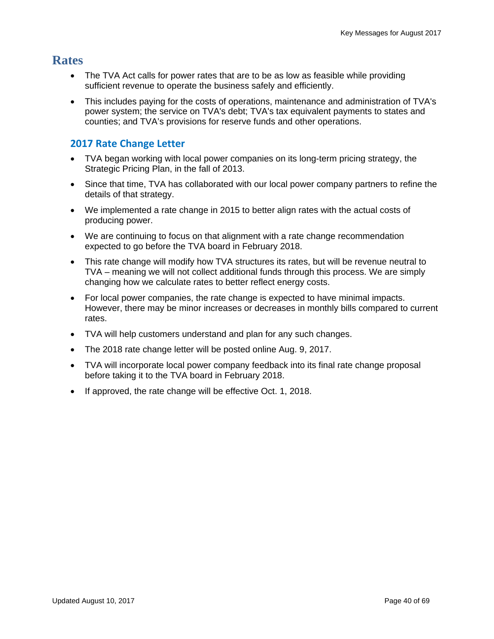### **Rates**

- The TVA Act calls for power rates that are to be as low as feasible while providing sufficient revenue to operate the business safely and efficiently.
- This includes paying for the costs of operations, maintenance and administration of TVA's power system; the service on TVA's debt; TVA's tax equivalent payments to states and counties; and TVA's provisions for reserve funds and other operations.

### **2017 Rate Change Letter**

- TVA began working with local power companies on its long-term pricing strategy, the Strategic Pricing Plan, in the fall of 2013.
- Since that time, TVA has collaborated with our local power company partners to refine the details of that strategy.
- We implemented a rate change in 2015 to better align rates with the actual costs of producing power.
- We are continuing to focus on that alignment with a rate change recommendation expected to go before the TVA board in February 2018.
- This rate change will modify how TVA structures its rates, but will be revenue neutral to TVA – meaning we will not collect additional funds through this process. We are simply changing how we calculate rates to better reflect energy costs.
- For local power companies, the rate change is expected to have minimal impacts. However, there may be minor increases or decreases in monthly bills compared to current rates.
- TVA will help customers understand and plan for any such changes.
- The 2018 rate change letter will be posted online Aug. 9, 2017.
- TVA will incorporate local power company feedback into its final rate change proposal before taking it to the TVA board in February 2018.
- If approved, the rate change will be effective Oct. 1, 2018.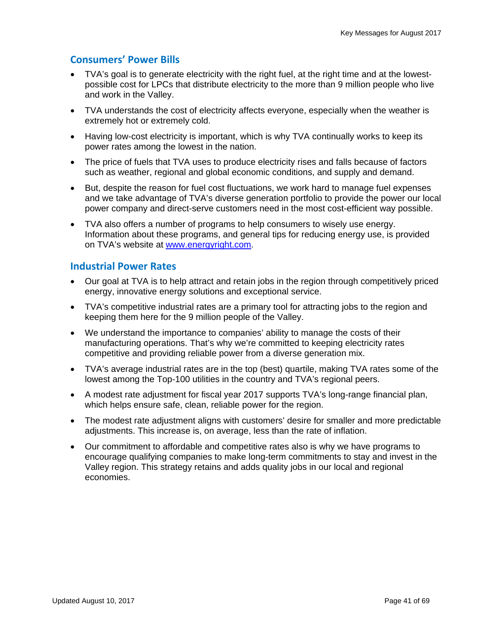### **Consumers' Power Bills**

- TVA's goal is to generate electricity with the right fuel, at the right time and at the lowestpossible cost for LPCs that distribute electricity to the more than 9 million people who live and work in the Valley.
- TVA understands the cost of electricity affects everyone, especially when the weather is extremely hot or extremely cold.
- Having low-cost electricity is important, which is why TVA continually works to keep its power rates among the lowest in the nation.
- The price of fuels that TVA uses to produce electricity rises and falls because of factors such as weather, regional and global economic conditions, and supply and demand.
- But, despite the reason for fuel cost fluctuations, we work hard to manage fuel expenses and we take advantage of TVA's diverse generation portfolio to provide the power our local power company and direct-serve customers need in the most cost-efficient way possible.
- TVA also offers a number of programs to help consumers to wisely use energy. Information about these programs, and general tips for reducing energy use, is provided on TVA's website at www.energyright.com.

#### **Industrial Power Rates**

- Our goal at TVA is to help attract and retain jobs in the region through competitively priced energy, innovative energy solutions and exceptional service.
- TVA's competitive industrial rates are a primary tool for attracting jobs to the region and keeping them here for the 9 million people of the Valley.
- We understand the importance to companies' ability to manage the costs of their manufacturing operations. That's why we're committed to keeping electricity rates competitive and providing reliable power from a diverse generation mix.
- TVA's average industrial rates are in the top (best) quartile, making TVA rates some of the lowest among the Top-100 utilities in the country and TVA's regional peers.
- A modest rate adjustment for fiscal year 2017 supports TVA's long-range financial plan, which helps ensure safe, clean, reliable power for the region.
- The modest rate adjustment aligns with customers' desire for smaller and more predictable adjustments. This increase is, on average, less than the rate of inflation.
- Our commitment to affordable and competitive rates also is why we have programs to encourage qualifying companies to make long-term commitments to stay and invest in the Valley region. This strategy retains and adds quality jobs in our local and regional economies.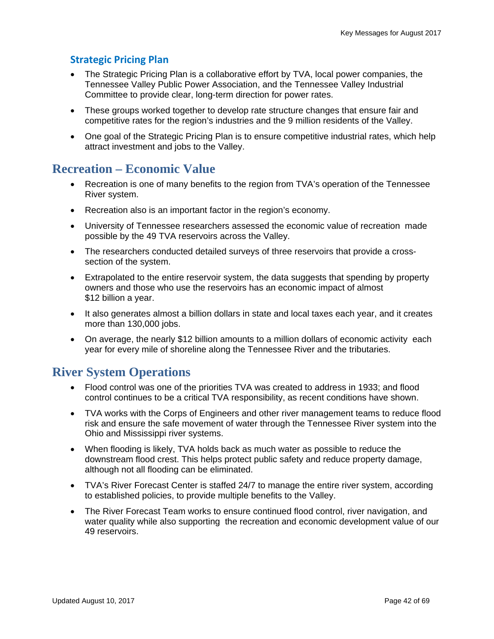### **Strategic Pricing Plan**

- The Strategic Pricing Plan is a collaborative effort by TVA, local power companies, the Tennessee Valley Public Power Association, and the Tennessee Valley Industrial Committee to provide clear, long-term direction for power rates.
- These groups worked together to develop rate structure changes that ensure fair and competitive rates for the region's industries and the 9 million residents of the Valley.
- One goal of the Strategic Pricing Plan is to ensure competitive industrial rates, which help attract investment and jobs to the Valley.

### **Recreation – Economic Value**

- Recreation is one of many benefits to the region from TVA's operation of the Tennessee River system.
- Recreation also is an important factor in the region's economy.
- University of Tennessee researchers assessed the economic value of recreation made possible by the 49 TVA reservoirs across the Valley.
- The researchers conducted detailed surveys of three reservoirs that provide a crosssection of the system.
- Extrapolated to the entire reservoir system, the data suggests that spending by property owners and those who use the reservoirs has an economic impact of almost \$12 billion a year.
- It also generates almost a billion dollars in state and local taxes each year, and it creates more than 130,000 jobs.
- On average, the nearly \$12 billion amounts to a million dollars of economic activity each year for every mile of shoreline along the Tennessee River and the tributaries.

### **River System Operations**

- Flood control was one of the priorities TVA was created to address in 1933; and flood control continues to be a critical TVA responsibility, as recent conditions have shown.
- TVA works with the Corps of Engineers and other river management teams to reduce flood risk and ensure the safe movement of water through the Tennessee River system into the Ohio and Mississippi river systems.
- When flooding is likely, TVA holds back as much water as possible to reduce the downstream flood crest. This helps protect public safety and reduce property damage, although not all flooding can be eliminated.
- TVA's River Forecast Center is staffed 24/7 to manage the entire river system, according to established policies, to provide multiple benefits to the Valley.
- The River Forecast Team works to ensure continued flood control, river navigation, and water quality while also supporting the recreation and economic development value of our 49 reservoirs.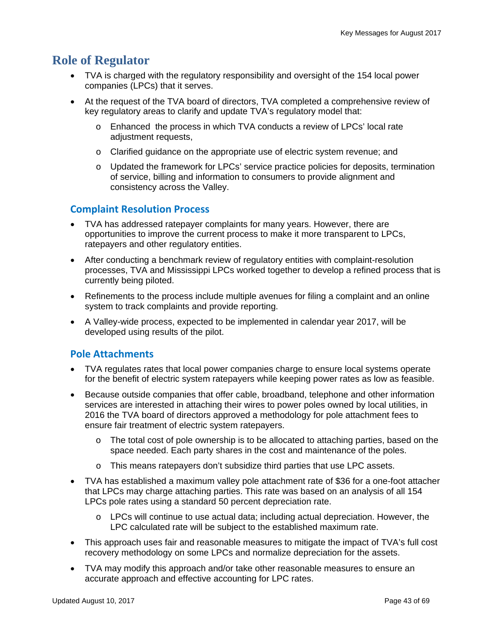### **Role of Regulator**

- TVA is charged with the regulatory responsibility and oversight of the 154 local power companies (LPCs) that it serves.
- At the request of the TVA board of directors, TVA completed a comprehensive review of key regulatory areas to clarify and update TVA's regulatory model that:
	- o Enhanced the process in which TVA conducts a review of LPCs' local rate adjustment requests,
	- o Clarified guidance on the appropriate use of electric system revenue; and
	- o Updated the framework for LPCs' service practice policies for deposits, termination of service, billing and information to consumers to provide alignment and consistency across the Valley.

### **Complaint Resolution Process**

- TVA has addressed ratepayer complaints for many years. However, there are opportunities to improve the current process to make it more transparent to LPCs, ratepayers and other regulatory entities.
- After conducting a benchmark review of regulatory entities with complaint-resolution processes, TVA and Mississippi LPCs worked together to develop a refined process that is currently being piloted.
- Refinements to the process include multiple avenues for filing a complaint and an online system to track complaints and provide reporting.
- A Valley-wide process, expected to be implemented in calendar year 2017, will be developed using results of the pilot.

### **Pole Attachments**

- TVA regulates rates that local power companies charge to ensure local systems operate for the benefit of electric system ratepayers while keeping power rates as low as feasible.
- Because outside companies that offer cable, broadband, telephone and other information services are interested in attaching their wires to power poles owned by local utilities, in 2016 the TVA board of directors approved a methodology for pole attachment fees to ensure fair treatment of electric system ratepayers.
	- The total cost of pole ownership is to be allocated to attaching parties, based on the space needed. Each party shares in the cost and maintenance of the poles.
	- o This means ratepayers don't subsidize third parties that use LPC assets.
- TVA has established a maximum valley pole attachment rate of \$36 for a one-foot attacher that LPCs may charge attaching parties. This rate was based on an analysis of all 154 LPCs pole rates using a standard 50 percent depreciation rate.
	- $\circ$  LPCs will continue to use actual data; including actual depreciation. However, the LPC calculated rate will be subject to the established maximum rate.
- This approach uses fair and reasonable measures to mitigate the impact of TVA's full cost recovery methodology on some LPCs and normalize depreciation for the assets.
- TVA may modify this approach and/or take other reasonable measures to ensure an accurate approach and effective accounting for LPC rates.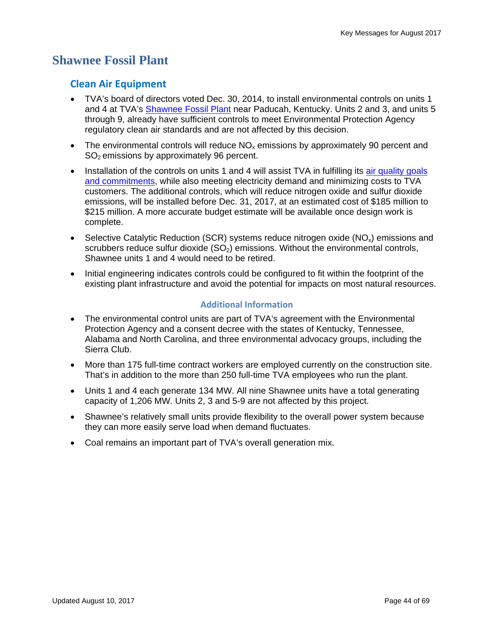### **Shawnee Fossil Plant**

#### **Clean Air Equipment**

- TVA's board of directors voted Dec. 30, 2014, to install environmental controls on units 1 and 4 at TVA's Shawnee Fossil Plant near Paducah, Kentucky. Units 2 and 3, and units 5 through 9, already have sufficient controls to meet Environmental Protection Agency regulatory clean air standards and are not affected by this decision.
- The environmental controls will reduce  $NO<sub>x</sub>$  emissions by approximately 90 percent and SO<sub>2</sub> emissions by approximately 96 percent.
- Installation of the controls on units 1 and 4 will assist TVA in fulfilling its air quality goals and commitments, while also meeting electricity demand and minimizing costs to TVA customers. The additional controls, which will reduce nitrogen oxide and sulfur dioxide emissions, will be installed before Dec. 31, 2017, at an estimated cost of \$185 million to \$215 million. A more accurate budget estimate will be available once design work is complete.
- Selective Catalytic Reduction (SCR) systems reduce nitrogen oxide ( $NO<sub>x</sub>$ ) emissions and scrubbers reduce sulfur dioxide  $(SO<sub>2</sub>)$  emissions. Without the environmental controls, Shawnee units 1 and 4 would need to be retired.
- Initial engineering indicates controls could be configured to fit within the footprint of the existing plant infrastructure and avoid the potential for impacts on most natural resources.

#### **Additional Information**

- The environmental control units are part of TVA's agreement with the Environmental Protection Agency and a consent decree with the states of Kentucky, Tennessee, Alabama and North Carolina, and three environmental advocacy groups, including the Sierra Club.
- More than 175 full-time contract workers are employed currently on the construction site. That's in addition to the more than 250 full-time TVA employees who run the plant.
- Units 1 and 4 each generate 134 MW. All nine Shawnee units have a total generating capacity of 1,206 MW. Units 2, 3 and 5-9 are not affected by this project.
- Shawnee's relatively small units provide flexibility to the overall power system because they can more easily serve load when demand fluctuates.
- Coal remains an important part of TVA's overall generation mix.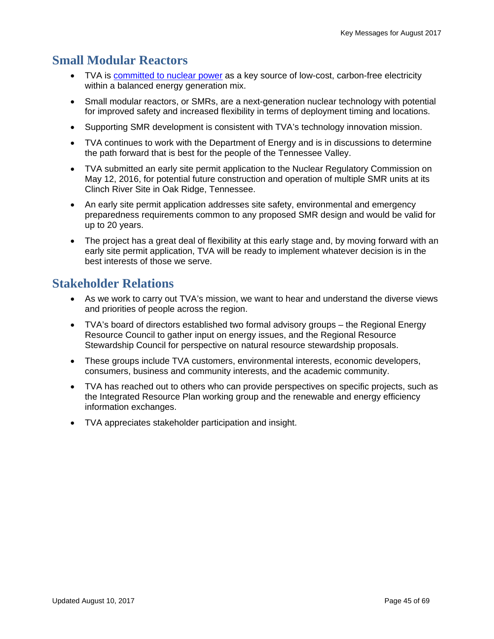# **Small Modular Reactors**

- TVA is committed to nuclear power as a key source of low-cost, carbon-free electricity within a balanced energy generation mix.
- Small modular reactors, or SMRs, are a next-generation nuclear technology with potential for improved safety and increased flexibility in terms of deployment timing and locations.
- Supporting SMR development is consistent with TVA's technology innovation mission.
- TVA continues to work with the Department of Energy and is in discussions to determine the path forward that is best for the people of the Tennessee Valley.
- TVA submitted an early site permit application to the Nuclear Regulatory Commission on May 12, 2016, for potential future construction and operation of multiple SMR units at its Clinch River Site in Oak Ridge, Tennessee.
- An early site permit application addresses site safety, environmental and emergency preparedness requirements common to any proposed SMR design and would be valid for up to 20 years.
- The project has a great deal of flexibility at this early stage and, by moving forward with an early site permit application, TVA will be ready to implement whatever decision is in the best interests of those we serve.

### **Stakeholder Relations**

- As we work to carry out TVA's mission, we want to hear and understand the diverse views and priorities of people across the region.
- TVA's board of directors established two formal advisory groups the Regional Energy Resource Council to gather input on energy issues, and the Regional Resource Stewardship Council for perspective on natural resource stewardship proposals.
- These groups include TVA customers, environmental interests, economic developers, consumers, business and community interests, and the academic community.
- TVA has reached out to others who can provide perspectives on specific projects, such as the Integrated Resource Plan working group and the renewable and energy efficiency information exchanges.
- TVA appreciates stakeholder participation and insight.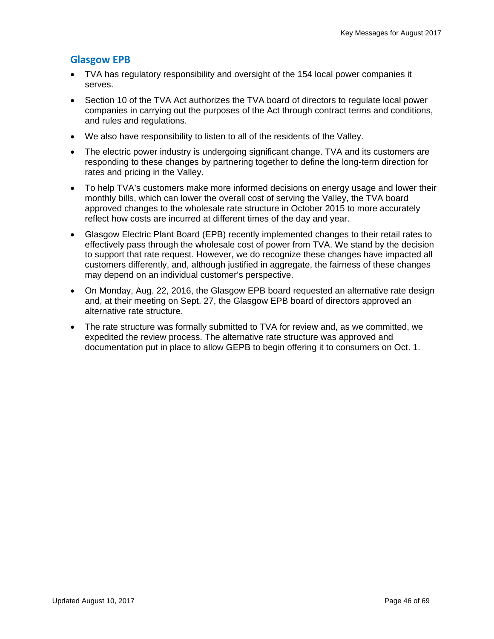### **Glasgow EPB**

- TVA has regulatory responsibility and oversight of the 154 local power companies it serves.
- Section 10 of the TVA Act authorizes the TVA board of directors to regulate local power companies in carrying out the purposes of the Act through contract terms and conditions, and rules and regulations.
- We also have responsibility to listen to all of the residents of the Valley.
- The electric power industry is undergoing significant change. TVA and its customers are responding to these changes by partnering together to define the long-term direction for rates and pricing in the Valley.
- To help TVA's customers make more informed decisions on energy usage and lower their monthly bills, which can lower the overall cost of serving the Valley, the TVA board approved changes to the wholesale rate structure in October 2015 to more accurately reflect how costs are incurred at different times of the day and year.
- Glasgow Electric Plant Board (EPB) recently implemented changes to their retail rates to effectively pass through the wholesale cost of power from TVA. We stand by the decision to support that rate request. However, we do recognize these changes have impacted all customers differently, and, although justified in aggregate, the fairness of these changes may depend on an individual customer's perspective.
- On Monday, Aug. 22, 2016, the Glasgow EPB board requested an alternative rate design and, at their meeting on Sept. 27, the Glasgow EPB board of directors approved an alternative rate structure.
- The rate structure was formally submitted to TVA for review and, as we committed, we expedited the review process. The alternative rate structure was approved and documentation put in place to allow GEPB to begin offering it to consumers on Oct. 1.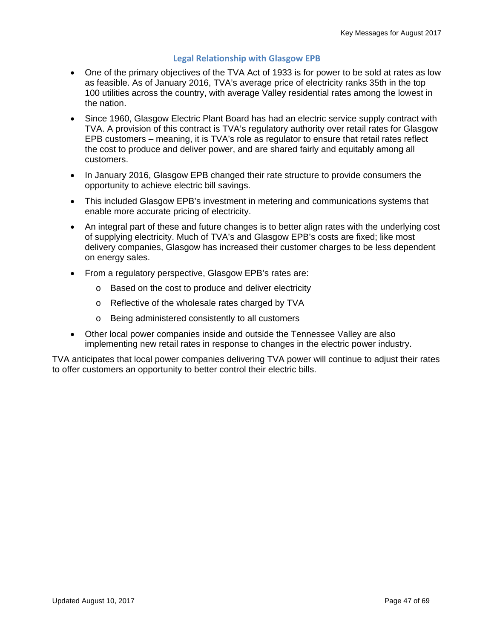#### **Legal Relationship with Glasgow EPB**

- One of the primary objectives of the TVA Act of 1933 is for power to be sold at rates as low as feasible. As of January 2016, TVA's average price of electricity ranks 35th in the top 100 utilities across the country, with average Valley residential rates among the lowest in the nation.
- Since 1960, Glasgow Electric Plant Board has had an electric service supply contract with TVA. A provision of this contract is TVA's regulatory authority over retail rates for Glasgow EPB customers – meaning, it is TVA's role as regulator to ensure that retail rates reflect the cost to produce and deliver power, and are shared fairly and equitably among all customers.
- In January 2016, Glasgow EPB changed their rate structure to provide consumers the opportunity to achieve electric bill savings.
- This included Glasgow EPB's investment in metering and communications systems that enable more accurate pricing of electricity.
- An integral part of these and future changes is to better align rates with the underlying cost of supplying electricity. Much of TVA's and Glasgow EPB's costs are fixed; like most delivery companies, Glasgow has increased their customer charges to be less dependent on energy sales.
- From a regulatory perspective, Glasgow EPB's rates are:
	- o Based on the cost to produce and deliver electricity
	- o Reflective of the wholesale rates charged by TVA
	- o Being administered consistently to all customers
- Other local power companies inside and outside the Tennessee Valley are also implementing new retail rates in response to changes in the electric power industry.

TVA anticipates that local power companies delivering TVA power will continue to adjust their rates to offer customers an opportunity to better control their electric bills.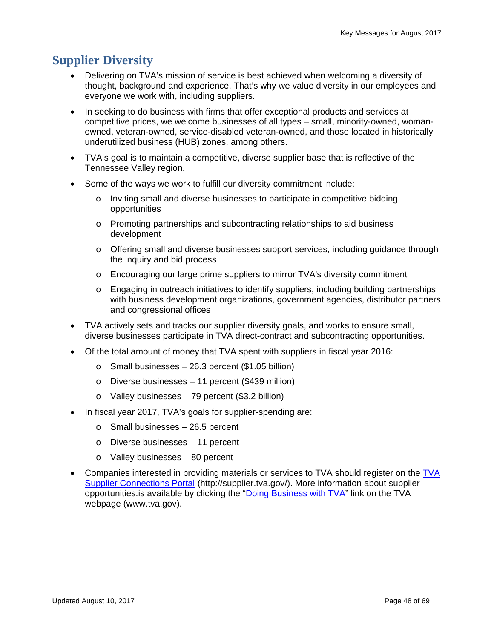# **Supplier Diversity**

- Delivering on TVA's mission of service is best achieved when welcoming a diversity of thought, background and experience. That's why we value diversity in our employees and everyone we work with, including suppliers.
- In seeking to do business with firms that offer exceptional products and services at competitive prices, we welcome businesses of all types – small, minority-owned, womanowned, veteran-owned, service-disabled veteran-owned, and those located in historically underutilized business (HUB) zones, among others.
- TVA's goal is to maintain a competitive, diverse supplier base that is reflective of the Tennessee Valley region.
- Some of the ways we work to fulfill our diversity commitment include:
	- o Inviting small and diverse businesses to participate in competitive bidding opportunities
	- o Promoting partnerships and subcontracting relationships to aid business development
	- o Offering small and diverse businesses support services, including guidance through the inquiry and bid process
	- o Encouraging our large prime suppliers to mirror TVA's diversity commitment
	- o Engaging in outreach initiatives to identify suppliers, including building partnerships with business development organizations, government agencies, distributor partners and congressional offices
- TVA actively sets and tracks our supplier diversity goals, and works to ensure small, diverse businesses participate in TVA direct-contract and subcontracting opportunities.
- Of the total amount of money that TVA spent with suppliers in fiscal year 2016:
	- $\circ$  Small businesses 26.3 percent (\$1.05 billion)
	- o Diverse businesses 11 percent (\$439 million)
	- o Valley businesses 79 percent (\$3.2 billion)
- In fiscal year 2017, TVA's goals for supplier-spending are:
	- o Small businesses 26.5 percent
	- o Diverse businesses 11 percent
	- o Valley businesses 80 percent
- Companies interested in providing materials or services to TVA should register on the TVA Supplier Connections Portal (http://supplier.tva.gov/). More information about supplier opportunities.is available by clicking the "Doing Business with TVA" link on the TVA webpage (www.tva.gov).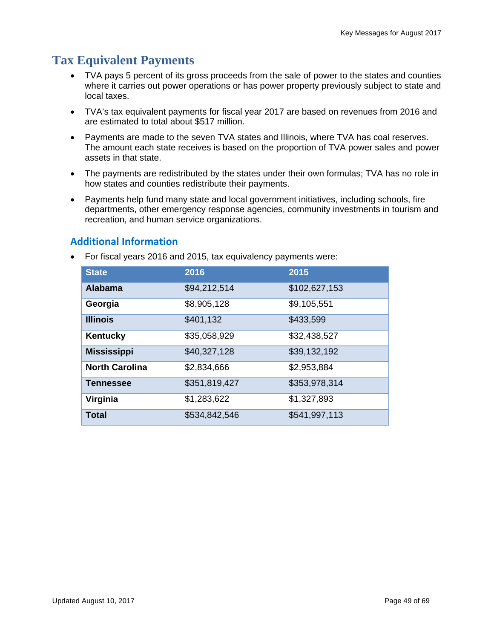# **Tax Equivalent Payments**

- TVA pays 5 percent of its gross proceeds from the sale of power to the states and counties where it carries out power operations or has power property previously subject to state and local taxes.
- TVA's tax equivalent payments for fiscal year 2017 are based on revenues from 2016 and are estimated to total about \$517 million.
- Payments are made to the seven TVA states and Illinois, where TVA has coal reserves. The amount each state receives is based on the proportion of TVA power sales and power assets in that state.
- The payments are redistributed by the states under their own formulas; TVA has no role in how states and counties redistribute their payments.
- Payments help fund many state and local government initiatives, including schools, fire departments, other emergency response agencies, community investments in tourism and recreation, and human service organizations.

### **Additional Information**

For fiscal years 2016 and 2015, tax equivalency payments were:

| <b>State</b>          | 2016          | 2015          |
|-----------------------|---------------|---------------|
| <b>Alabama</b>        | \$94,212,514  | \$102,627,153 |
| Georgia               | \$8,905,128   | \$9,105,551   |
| <b>Illinois</b>       | \$401,132     | \$433,599     |
| Kentucky              | \$35,058,929  | \$32,438,527  |
| <b>Mississippi</b>    | \$40,327,128  | \$39,132,192  |
| <b>North Carolina</b> | \$2,834,666   | \$2,953,884   |
| <b>Tennessee</b>      | \$351,819,427 | \$353,978,314 |
| Virginia              | \$1,283,622   | \$1,327,893   |
| Total                 | \$534,842,546 | \$541,997,113 |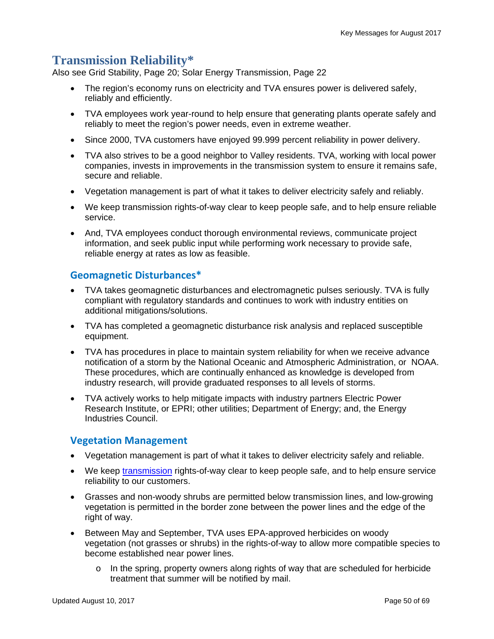### **Transmission Reliability\***

Also see Grid Stability, Page 20; Solar Energy Transmission, Page 22

- The region's economy runs on electricity and TVA ensures power is delivered safely, reliably and efficiently.
- TVA employees work year-round to help ensure that generating plants operate safely and reliably to meet the region's power needs, even in extreme weather.
- Since 2000, TVA customers have enjoyed 99.999 percent reliability in power delivery.
- TVA also strives to be a good neighbor to Valley residents. TVA, working with local power companies, invests in improvements in the transmission system to ensure it remains safe, secure and reliable.
- Vegetation management is part of what it takes to deliver electricity safely and reliably.
- We keep transmission rights-of-way clear to keep people safe, and to help ensure reliable service.
- And, TVA employees conduct thorough environmental reviews, communicate project information, and seek public input while performing work necessary to provide safe, reliable energy at rates as low as feasible.

#### **Geomagnetic Disturbances\***

- TVA takes geomagnetic disturbances and electromagnetic pulses seriously. TVA is fully compliant with regulatory standards and continues to work with industry entities on additional mitigations/solutions.
- TVA has completed a geomagnetic disturbance risk analysis and replaced susceptible equipment.
- TVA has procedures in place to maintain system reliability for when we receive advance notification of a storm by the National Oceanic and Atmospheric Administration, or NOAA. These procedures, which are continually enhanced as knowledge is developed from industry research, will provide graduated responses to all levels of storms.
- TVA actively works to help mitigate impacts with industry partners Electric Power Research Institute, or EPRI; other utilities; Department of Energy; and, the Energy Industries Council.

#### **Vegetation Management**

- Vegetation management is part of what it takes to deliver electricity safely and reliable.
- We keep transmission rights-of-way clear to keep people safe, and to help ensure service reliability to our customers.
- Grasses and non-woody shrubs are permitted below transmission lines, and low-growing vegetation is permitted in the border zone between the power lines and the edge of the right of way.
- Between May and September, TVA uses EPA-approved herbicides on woody vegetation (not grasses or shrubs) in the rights-of-way to allow more compatible species to become established near power lines.
	- $\circ$  In the spring, property owners along rights of way that are scheduled for herbicide treatment that summer will be notified by mail.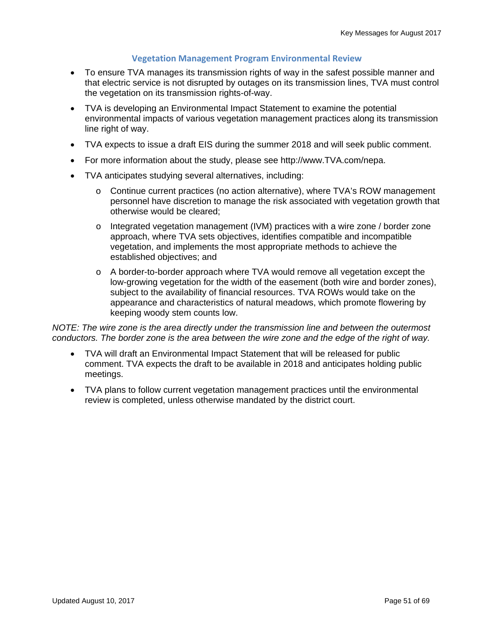#### **Vegetation Management Program Environmental Review**

- To ensure TVA manages its transmission rights of way in the safest possible manner and that electric service is not disrupted by outages on its transmission lines, TVA must control the vegetation on its transmission rights-of-way.
- TVA is developing an Environmental Impact Statement to examine the potential environmental impacts of various vegetation management practices along its transmission line right of way.
- TVA expects to issue a draft EIS during the summer 2018 and will seek public comment.
- For more information about the study, please see http://www.TVA.com/nepa.
- TVA anticipates studying several alternatives, including:
	- o Continue current practices (no action alternative), where TVA's ROW management personnel have discretion to manage the risk associated with vegetation growth that otherwise would be cleared;
	- o Integrated vegetation management (IVM) practices with a wire zone / border zone approach, where TVA sets objectives, identifies compatible and incompatible vegetation, and implements the most appropriate methods to achieve the established objectives; and
	- o A border-to-border approach where TVA would remove all vegetation except the low-growing vegetation for the width of the easement (both wire and border zones), subject to the availability of financial resources. TVA ROWs would take on the appearance and characteristics of natural meadows, which promote flowering by keeping woody stem counts low.

*NOTE: The wire zone is the area directly under the transmission line and between the outermost conductors. The border zone is the area between the wire zone and the edge of the right of way.* 

- TVA will draft an Environmental Impact Statement that will be released for public comment. TVA expects the draft to be available in 2018 and anticipates holding public meetings.
- TVA plans to follow current vegetation management practices until the environmental review is completed, unless otherwise mandated by the district court.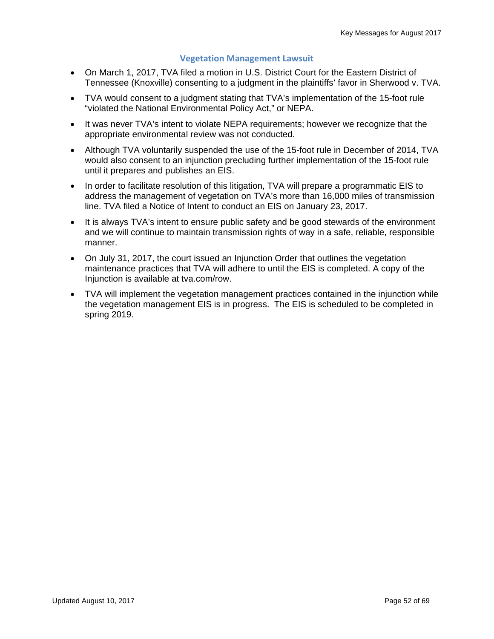#### **Vegetation Management Lawsuit**

- On March 1, 2017, TVA filed a motion in U.S. District Court for the Eastern District of Tennessee (Knoxville) consenting to a judgment in the plaintiffs' favor in Sherwood v. TVA.
- TVA would consent to a judgment stating that TVA's implementation of the 15-foot rule "violated the National Environmental Policy Act," or NEPA.
- It was never TVA's intent to violate NEPA requirements; however we recognize that the appropriate environmental review was not conducted.
- Although TVA voluntarily suspended the use of the 15-foot rule in December of 2014, TVA would also consent to an injunction precluding further implementation of the 15-foot rule until it prepares and publishes an EIS.
- In order to facilitate resolution of this litigation, TVA will prepare a programmatic EIS to address the management of vegetation on TVA's more than 16,000 miles of transmission line. TVA filed a Notice of Intent to conduct an EIS on January 23, 2017.
- It is always TVA's intent to ensure public safety and be good stewards of the environment and we will continue to maintain transmission rights of way in a safe, reliable, responsible manner.
- On July 31, 2017, the court issued an Injunction Order that outlines the vegetation maintenance practices that TVA will adhere to until the EIS is completed. A copy of the Injunction is available at tva.com/row.
- TVA will implement the vegetation management practices contained in the injunction while the vegetation management EIS is in progress. The EIS is scheduled to be completed in spring 2019.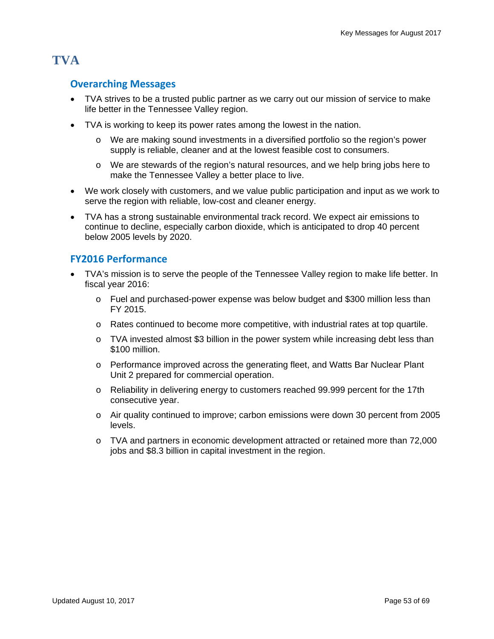# **TVA**

#### **Overarching Messages**

- TVA strives to be a trusted public partner as we carry out our mission of service to make life better in the Tennessee Valley region.
- TVA is working to keep its power rates among the lowest in the nation.
	- o We are making sound investments in a diversified portfolio so the region's power supply is reliable, cleaner and at the lowest feasible cost to consumers.
	- o We are stewards of the region's natural resources, and we help bring jobs here to make the Tennessee Valley a better place to live.
- We work closely with customers, and we value public participation and input as we work to serve the region with reliable, low-cost and cleaner energy.
- TVA has a strong sustainable environmental track record. We expect air emissions to continue to decline, especially carbon dioxide, which is anticipated to drop 40 percent below 2005 levels by 2020.

### **FY2016 Performance**

- TVA's mission is to serve the people of the Tennessee Valley region to make life better. In fiscal year 2016:
	- o Fuel and purchased-power expense was below budget and \$300 million less than FY 2015.
	- o Rates continued to become more competitive, with industrial rates at top quartile.
	- $\circ$  TVA invested almost \$3 billion in the power system while increasing debt less than \$100 million.
	- o Performance improved across the generating fleet, and Watts Bar Nuclear Plant Unit 2 prepared for commercial operation.
	- o Reliability in delivering energy to customers reached 99.999 percent for the 17th consecutive year.
	- o Air quality continued to improve; carbon emissions were down 30 percent from 2005 levels.
	- o TVA and partners in economic development attracted or retained more than 72,000 jobs and \$8.3 billion in capital investment in the region.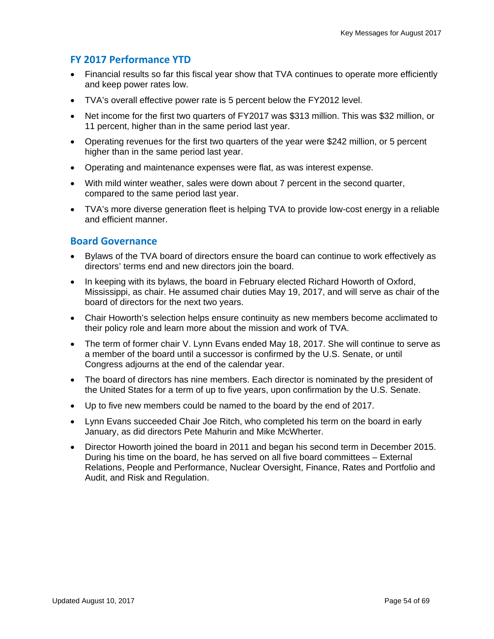### **FY 2017 Performance YTD**

- Financial results so far this fiscal year show that TVA continues to operate more efficiently and keep power rates low.
- TVA's overall effective power rate is 5 percent below the FY2012 level.
- Net income for the first two quarters of FY2017 was \$313 million. This was \$32 million, or 11 percent, higher than in the same period last year.
- Operating revenues for the first two quarters of the year were \$242 million, or 5 percent higher than in the same period last year.
- Operating and maintenance expenses were flat, as was interest expense.
- With mild winter weather, sales were down about 7 percent in the second quarter, compared to the same period last year.
- TVA's more diverse generation fleet is helping TVA to provide low-cost energy in a reliable and efficient manner.

#### **Board Governance**

- Bylaws of the TVA board of directors ensure the board can continue to work effectively as directors' terms end and new directors join the board.
- In keeping with its bylaws, the board in February elected Richard Howorth of Oxford, Mississippi, as chair. He assumed chair duties May 19, 2017, and will serve as chair of the board of directors for the next two years.
- Chair Howorth's selection helps ensure continuity as new members become acclimated to their policy role and learn more about the mission and work of TVA.
- The term of former chair V. Lynn Evans ended May 18, 2017. She will continue to serve as a member of the board until a successor is confirmed by the U.S. Senate, or until Congress adjourns at the end of the calendar year.
- The board of directors has nine members. Each director is nominated by the president of the United States for a term of up to five years, upon confirmation by the U.S. Senate.
- Up to five new members could be named to the board by the end of 2017.
- Lynn Evans succeeded Chair Joe Ritch, who completed his term on the board in early January, as did directors Pete Mahurin and Mike McWherter.
- Director Howorth joined the board in 2011 and began his second term in December 2015. During his time on the board, he has served on all five board committees – External Relations, People and Performance, Nuclear Oversight, Finance, Rates and Portfolio and Audit, and Risk and Regulation.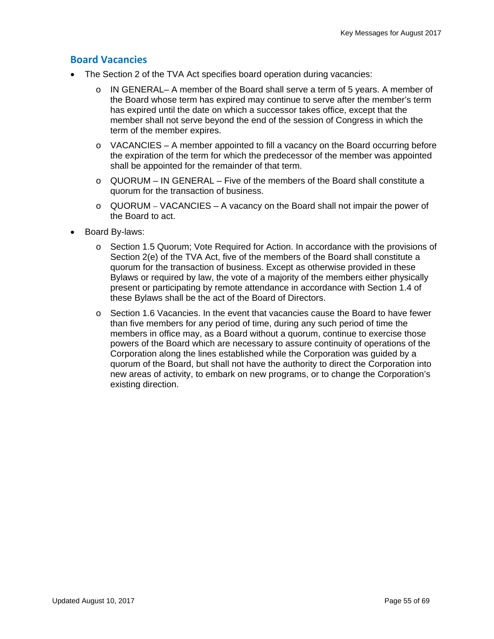#### **Board Vacancies**

- The Section 2 of the TVA Act specifies board operation during vacancies:
	- $\circ$  IN GENERAL– A member of the Board shall serve a term of 5 years. A member of the Board whose term has expired may continue to serve after the member's term has expired until the date on which a successor takes office, except that the member shall not serve beyond the end of the session of Congress in which the term of the member expires.
	- $\circ$  VACANCIES A member appointed to fill a vacancy on the Board occurring before the expiration of the term for which the predecessor of the member was appointed shall be appointed for the remainder of that term.
	- $\circ$  QUORUM IN GENERAL Five of the members of the Board shall constitute a quorum for the transaction of business.
	- $\circ$  QUORUM VACANCIES A vacancy on the Board shall not impair the power of the Board to act.
- Board By-laws:
	- o Section 1.5 Quorum; Vote Required for Action. In accordance with the provisions of Section 2(e) of the TVA Act, five of the members of the Board shall constitute a quorum for the transaction of business. Except as otherwise provided in these Bylaws or required by law, the vote of a majority of the members either physically present or participating by remote attendance in accordance with Section 1.4 of these Bylaws shall be the act of the Board of Directors.
	- o Section 1.6 Vacancies. In the event that vacancies cause the Board to have fewer than five members for any period of time, during any such period of time the members in office may, as a Board without a quorum, continue to exercise those powers of the Board which are necessary to assure continuity of operations of the Corporation along the lines established while the Corporation was guided by a quorum of the Board, but shall not have the authority to direct the Corporation into new areas of activity, to embark on new programs, or to change the Corporation's existing direction.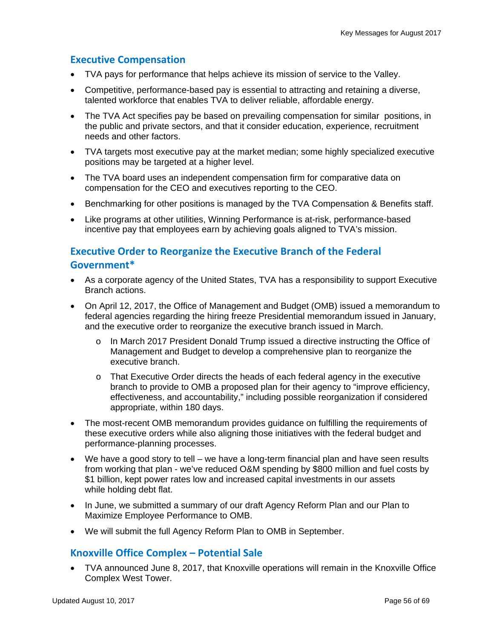#### **Executive Compensation**

- TVA pays for performance that helps achieve its mission of service to the Valley.
- Competitive, performance-based pay is essential to attracting and retaining a diverse, talented workforce that enables TVA to deliver reliable, affordable energy.
- The TVA Act specifies pay be based on prevailing compensation for similar positions, in the public and private sectors, and that it consider education, experience, recruitment needs and other factors.
- TVA targets most executive pay at the market median; some highly specialized executive positions may be targeted at a higher level.
- The TVA board uses an independent compensation firm for comparative data on compensation for the CEO and executives reporting to the CEO.
- Benchmarking for other positions is managed by the TVA Compensation & Benefits staff.
- Like programs at other utilities, Winning Performance is at-risk, performance-based incentive pay that employees earn by achieving goals aligned to TVA's mission.

### **Executive Order to Reorganize the Executive Branch of the Federal Government\***

- As a corporate agency of the United States, TVA has a responsibility to support Executive Branch actions.
- On April 12, 2017, the Office of Management and Budget (OMB) issued a memorandum to federal agencies regarding the hiring freeze Presidential memorandum issued in January, and the executive order to reorganize the executive branch issued in March.
	- o In March 2017 President Donald Trump issued a directive instructing the Office of Management and Budget to develop a comprehensive plan to reorganize the executive branch.
	- o That Executive Order directs the heads of each federal agency in the executive branch to provide to OMB a proposed plan for their agency to "improve efficiency, effectiveness, and accountability," including possible reorganization if considered appropriate, within 180 days.
- The most-recent OMB memorandum provides guidance on fulfilling the requirements of these executive orders while also aligning those initiatives with the federal budget and performance-planning processes.
- We have a good story to tell we have a long-term financial plan and have seen results from working that plan - we've reduced O&M spending by \$800 million and fuel costs by \$1 billion, kept power rates low and increased capital investments in our assets while holding debt flat.
- In June, we submitted a summary of our draft Agency Reform Plan and our Plan to Maximize Employee Performance to OMB.
- We will submit the full Agency Reform Plan to OMB in September.

#### **Knoxville Office Complex – Potential Sale**

 TVA announced June 8, 2017, that Knoxville operations will remain in the Knoxville Office Complex West Tower.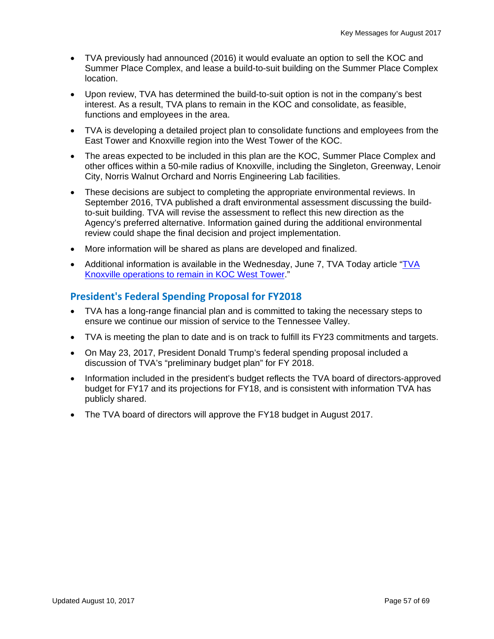- TVA previously had announced (2016) it would evaluate an option to sell the KOC and Summer Place Complex, and lease a build-to-suit building on the Summer Place Complex location.
- Upon review, TVA has determined the build-to-suit option is not in the company's best interest. As a result, TVA plans to remain in the KOC and consolidate, as feasible, functions and employees in the area.
- TVA is developing a detailed project plan to consolidate functions and employees from the East Tower and Knoxville region into the West Tower of the KOC.
- The areas expected to be included in this plan are the KOC, Summer Place Complex and other offices within a 50-mile radius of Knoxville, including the Singleton, Greenway, Lenoir City, Norris Walnut Orchard and Norris Engineering Lab facilities.
- These decisions are subject to completing the appropriate environmental reviews. In September 2016, TVA published a draft environmental assessment discussing the buildto-suit building. TVA will revise the assessment to reflect this new direction as the Agency's preferred alternative. Information gained during the additional environmental review could shape the final decision and project implementation.
- More information will be shared as plans are developed and finalized.
- Additional information is available in the Wednesday, June 7, TVA Today article "TVA Knoxville operations to remain in KOC West Tower."

### **President's Federal Spending Proposal for FY2018**

- TVA has a long-range financial plan and is committed to taking the necessary steps to ensure we continue our mission of service to the Tennessee Valley.
- TVA is meeting the plan to date and is on track to fulfill its FY23 commitments and targets.
- On May 23, 2017, President Donald Trump's federal spending proposal included a discussion of TVA's "preliminary budget plan" for FY 2018.
- Information included in the president's budget reflects the TVA board of directors-approved budget for FY17 and its projections for FY18, and is consistent with information TVA has publicly shared.
- The TVA board of directors will approve the FY18 budget in August 2017.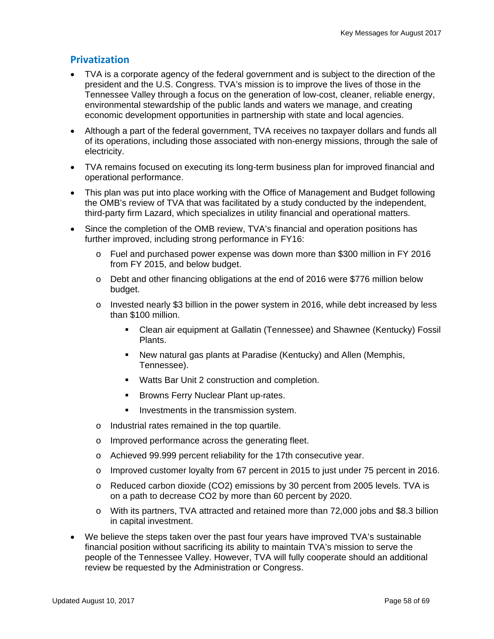#### **Privatization**

- TVA is a corporate agency of the federal government and is subject to the direction of the president and the U.S. Congress. TVA's mission is to improve the lives of those in the Tennessee Valley through a focus on the generation of low-cost, cleaner, reliable energy, environmental stewardship of the public lands and waters we manage, and creating economic development opportunities in partnership with state and local agencies.
- Although a part of the federal government, TVA receives no taxpayer dollars and funds all of its operations, including those associated with non-energy missions, through the sale of electricity.
- TVA remains focused on executing its long-term business plan for improved financial and operational performance.
- This plan was put into place working with the Office of Management and Budget following the OMB's review of TVA that was facilitated by a study conducted by the independent, third-party firm Lazard, which specializes in utility financial and operational matters.
- Since the completion of the OMB review, TVA's financial and operation positions has further improved, including strong performance in FY16:
	- o Fuel and purchased power expense was down more than \$300 million in FY 2016 from FY 2015, and below budget.
	- o Debt and other financing obligations at the end of 2016 were \$776 million below budget.
	- $\circ$  Invested nearly \$3 billion in the power system in 2016, while debt increased by less than \$100 million.
		- Clean air equipment at Gallatin (Tennessee) and Shawnee (Kentucky) Fossil Plants.
		- New natural gas plants at Paradise (Kentucky) and Allen (Memphis, Tennessee).
		- Watts Bar Unit 2 construction and completion.
		- **Browns Ferry Nuclear Plant up-rates.**
		- **Investments in the transmission system.**
	- o Industrial rates remained in the top quartile.
	- o Improved performance across the generating fleet.
	- o Achieved 99.999 percent reliability for the 17th consecutive year.
	- $\circ$  Improved customer loyalty from 67 percent in 2015 to just under 75 percent in 2016.
	- o Reduced carbon dioxide (CO2) emissions by 30 percent from 2005 levels. TVA is on a path to decrease CO2 by more than 60 percent by 2020.
	- o With its partners, TVA attracted and retained more than 72,000 jobs and \$8.3 billion in capital investment.
- We believe the steps taken over the past four years have improved TVA's sustainable financial position without sacrificing its ability to maintain TVA's mission to serve the people of the Tennessee Valley. However, TVA will fully cooperate should an additional review be requested by the Administration or Congress.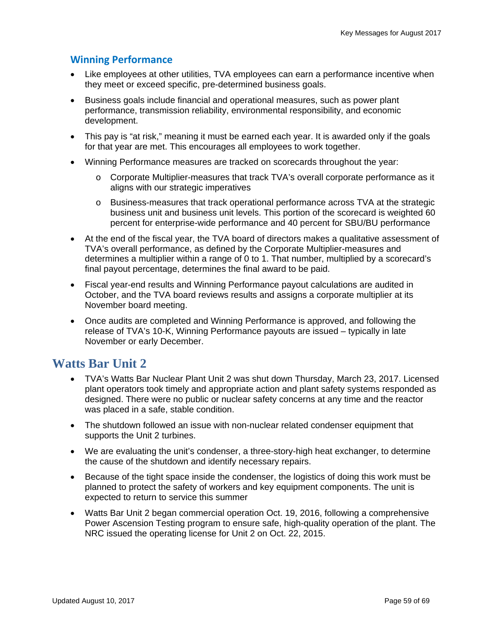### **Winning Performance**

- Like employees at other utilities, TVA employees can earn a performance incentive when they meet or exceed specific, pre-determined business goals.
- Business goals include financial and operational measures, such as power plant performance, transmission reliability, environmental responsibility, and economic development.
- This pay is "at risk," meaning it must be earned each year. It is awarded only if the goals for that year are met. This encourages all employees to work together.
- Winning Performance measures are tracked on scorecards throughout the year:
	- o Corporate Multiplier-measures that track TVA's overall corporate performance as it aligns with our strategic imperatives
	- o Business-measures that track operational performance across TVA at the strategic business unit and business unit levels. This portion of the scorecard is weighted 60 percent for enterprise-wide performance and 40 percent for SBU/BU performance
- At the end of the fiscal year, the TVA board of directors makes a qualitative assessment of TVA's overall performance, as defined by the Corporate Multiplier-measures and determines a multiplier within a range of 0 to 1. That number, multiplied by a scorecard's final payout percentage, determines the final award to be paid.
- Fiscal year-end results and Winning Performance payout calculations are audited in October, and the TVA board reviews results and assigns a corporate multiplier at its November board meeting.
- Once audits are completed and Winning Performance is approved, and following the release of TVA's 10-K, Winning Performance payouts are issued – typically in late November or early December.

### **Watts Bar Unit 2**

- TVA's Watts Bar Nuclear Plant Unit 2 was shut down Thursday, March 23, 2017. Licensed plant operators took timely and appropriate action and plant safety systems responded as designed. There were no public or nuclear safety concerns at any time and the reactor was placed in a safe, stable condition.
- The shutdown followed an issue with non-nuclear related condenser equipment that supports the Unit 2 turbines.
- We are evaluating the unit's condenser, a three-story-high heat exchanger, to determine the cause of the shutdown and identify necessary repairs.
- Because of the tight space inside the condenser, the logistics of doing this work must be planned to protect the safety of workers and key equipment components. The unit is expected to return to service this summer
- Watts Bar Unit 2 began commercial operation Oct. 19, 2016, following a comprehensive Power Ascension Testing program to ensure safe, high-quality operation of the plant. The NRC issued the operating license for Unit 2 on Oct. 22, 2015.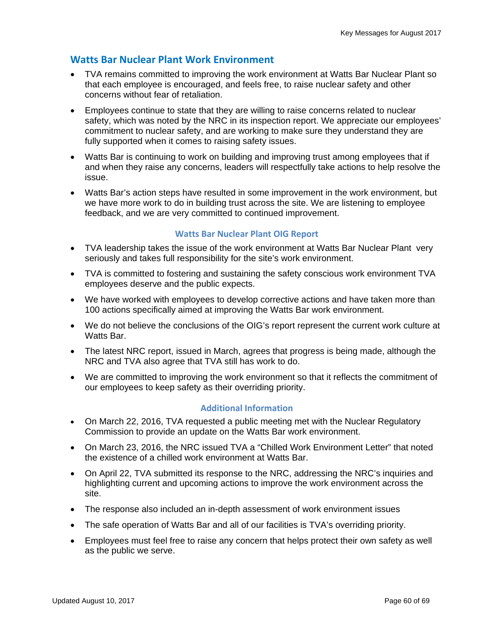#### **Watts Bar Nuclear Plant Work Environment**

- TVA remains committed to improving the work environment at Watts Bar Nuclear Plant so that each employee is encouraged, and feels free, to raise nuclear safety and other concerns without fear of retaliation.
- Employees continue to state that they are willing to raise concerns related to nuclear safety, which was noted by the NRC in its inspection report. We appreciate our employees' commitment to nuclear safety, and are working to make sure they understand they are fully supported when it comes to raising safety issues.
- Watts Bar is continuing to work on building and improving trust among employees that if and when they raise any concerns, leaders will respectfully take actions to help resolve the issue.
- Watts Bar's action steps have resulted in some improvement in the work environment, but we have more work to do in building trust across the site. We are listening to employee feedback, and we are very committed to continued improvement.

#### **Watts Bar Nuclear Plant OIG Report**

- TVA leadership takes the issue of the work environment at Watts Bar Nuclear Plant very seriously and takes full responsibility for the site's work environment.
- TVA is committed to fostering and sustaining the safety conscious work environment TVA employees deserve and the public expects.
- We have worked with employees to develop corrective actions and have taken more than 100 actions specifically aimed at improving the Watts Bar work environment.
- We do not believe the conclusions of the OIG's report represent the current work culture at Watts Bar.
- The latest NRC report, issued in March, agrees that progress is being made, although the NRC and TVA also agree that TVA still has work to do.
- We are committed to improving the work environment so that it reflects the commitment of our employees to keep safety as their overriding priority.

#### **Additional Information**

- On March 22, 2016, TVA requested a public meeting met with the Nuclear Regulatory Commission to provide an update on the Watts Bar work environment.
- On March 23, 2016, the NRC issued TVA a "Chilled Work Environment Letter" that noted the existence of a chilled work environment at Watts Bar.
- On April 22, TVA submitted its response to the NRC, addressing the NRC's inquiries and highlighting current and upcoming actions to improve the work environment across the site.
- The response also included an in-depth assessment of work environment issues
- The safe operation of Watts Bar and all of our facilities is TVA's overriding priority.
- Employees must feel free to raise any concern that helps protect their own safety as well as the public we serve.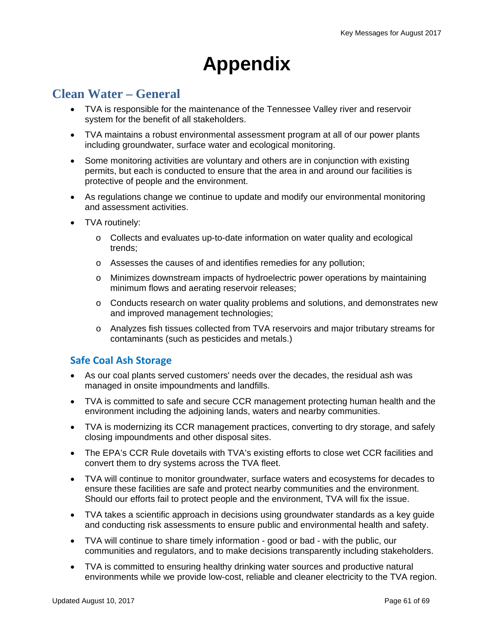# **Appendix**

### **Clean Water – General**

- TVA is responsible for the maintenance of the Tennessee Valley river and reservoir system for the benefit of all stakeholders.
- TVA maintains a robust environmental assessment program at all of our power plants including groundwater, surface water and ecological monitoring.
- Some monitoring activities are voluntary and others are in conjunction with existing permits, but each is conducted to ensure that the area in and around our facilities is protective of people and the environment.
- As regulations change we continue to update and modify our environmental monitoring and assessment activities.
- TVA routinely:
	- o Collects and evaluates up-to-date information on water quality and ecological trends;
	- o Assesses the causes of and identifies remedies for any pollution;
	- o Minimizes downstream impacts of hydroelectric power operations by maintaining minimum flows and aerating reservoir releases;
	- $\circ$  Conducts research on water quality problems and solutions, and demonstrates new and improved management technologies;
	- o Analyzes fish tissues collected from TVA reservoirs and major tributary streams for contaminants (such as pesticides and metals.)

#### **Safe Coal Ash Storage**

- As our coal plants served customers' needs over the decades, the residual ash was managed in onsite impoundments and landfills.
- TVA is committed to safe and secure CCR management protecting human health and the environment including the adjoining lands, waters and nearby communities.
- TVA is modernizing its CCR management practices, converting to dry storage, and safely closing impoundments and other disposal sites.
- The EPA's CCR Rule dovetails with TVA's existing efforts to close wet CCR facilities and convert them to dry systems across the TVA fleet.
- TVA will continue to monitor groundwater, surface waters and ecosystems for decades to ensure these facilities are safe and protect nearby communities and the environment. Should our efforts fail to protect people and the environment, TVA will fix the issue.
- TVA takes a scientific approach in decisions using groundwater standards as a key guide and conducting risk assessments to ensure public and environmental health and safety.
- TVA will continue to share timely information good or bad with the public, our communities and regulators, and to make decisions transparently including stakeholders.
- TVA is committed to ensuring healthy drinking water sources and productive natural environments while we provide low-cost, reliable and cleaner electricity to the TVA region.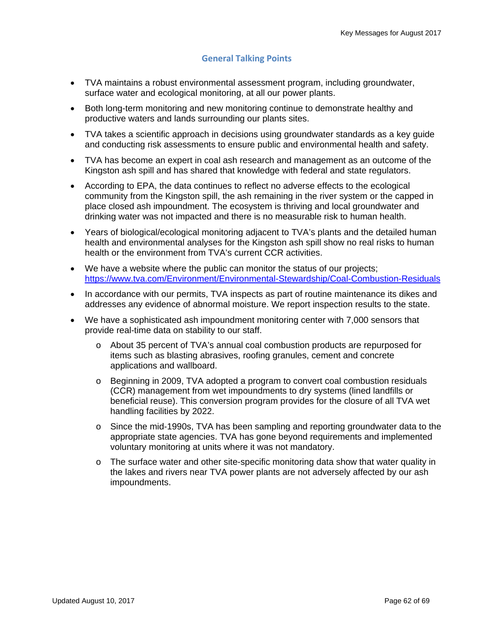#### **General Talking Points**

- TVA maintains a robust environmental assessment program, including groundwater, surface water and ecological monitoring, at all our power plants.
- Both long-term monitoring and new monitoring continue to demonstrate healthy and productive waters and lands surrounding our plants sites.
- TVA takes a scientific approach in decisions using groundwater standards as a key guide and conducting risk assessments to ensure public and environmental health and safety.
- TVA has become an expert in coal ash research and management as an outcome of the Kingston ash spill and has shared that knowledge with federal and state regulators.
- According to EPA, the data continues to reflect no adverse effects to the ecological community from the Kingston spill, the ash remaining in the river system or the capped in place closed ash impoundment. The ecosystem is thriving and local groundwater and drinking water was not impacted and there is no measurable risk to human health.
- Years of biological/ecological monitoring adjacent to TVA's plants and the detailed human health and environmental analyses for the Kingston ash spill show no real risks to human health or the environment from TVA's current CCR activities.
- We have a website where the public can monitor the status of our projects; https://www.tva.com/Environment/Environmental-Stewardship/Coal-Combustion-Residuals
- In accordance with our permits, TVA inspects as part of routine maintenance its dikes and addresses any evidence of abnormal moisture. We report inspection results to the state.
- We have a sophisticated ash impoundment monitoring center with 7,000 sensors that provide real-time data on stability to our staff.
	- o About 35 percent of TVA's annual coal combustion products are repurposed for items such as blasting abrasives, roofing granules, cement and concrete applications and wallboard.
	- o Beginning in 2009, TVA adopted a program to convert coal combustion residuals (CCR) management from wet impoundments to dry systems (lined landfills or beneficial reuse). This conversion program provides for the closure of all TVA wet handling facilities by 2022.
	- o Since the mid-1990s, TVA has been sampling and reporting groundwater data to the appropriate state agencies. TVA has gone beyond requirements and implemented voluntary monitoring at units where it was not mandatory.
	- $\circ$  The surface water and other site-specific monitoring data show that water quality in the lakes and rivers near TVA power plants are not adversely affected by our ash impoundments.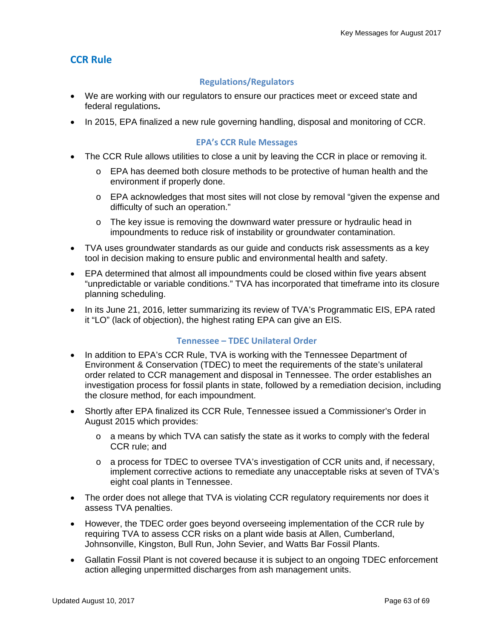### **CCR Rule**

#### **Regulations/Regulators**

- We are working with our regulators to ensure our practices meet or exceed state and federal regulations**.**
- In 2015, EPA finalized a new rule governing handling, disposal and monitoring of CCR.

#### **EPA's CCR Rule Messages**

- The CCR Rule allows utilities to close a unit by leaving the CCR in place or removing it.
	- o EPA has deemed both closure methods to be protective of human health and the environment if properly done.
	- $\circ$  EPA acknowledges that most sites will not close by removal "given the expense and difficulty of such an operation."
	- o The key issue is removing the downward water pressure or hydraulic head in impoundments to reduce risk of instability or groundwater contamination.
- TVA uses groundwater standards as our guide and conducts risk assessments as a key tool in decision making to ensure public and environmental health and safety.
- EPA determined that almost all impoundments could be closed within five years absent "unpredictable or variable conditions." TVA has incorporated that timeframe into its closure planning scheduling.
- In its June 21, 2016, letter summarizing its review of TVA's Programmatic EIS, EPA rated it "LO" (lack of objection), the highest rating EPA can give an EIS.

#### **Tennessee – TDEC Unilateral Order**

- In addition to EPA's CCR Rule, TVA is working with the Tennessee Department of Environment & Conservation (TDEC) to meet the requirements of the state's unilateral order related to CCR management and disposal in Tennessee. The order establishes an investigation process for fossil plants in state, followed by a remediation decision, including the closure method, for each impoundment.
- Shortly after EPA finalized its CCR Rule, Tennessee issued a Commissioner's Order in August 2015 which provides:
	- $\circ$  a means by which TVA can satisfy the state as it works to comply with the federal CCR rule; and
	- $\circ$  a process for TDEC to oversee TVA's investigation of CCR units and, if necessary, implement corrective actions to remediate any unacceptable risks at seven of TVA's eight coal plants in Tennessee.
- The order does not allege that TVA is violating CCR regulatory requirements nor does it assess TVA penalties.
- However, the TDEC order goes beyond overseeing implementation of the CCR rule by requiring TVA to assess CCR risks on a plant wide basis at Allen, Cumberland, Johnsonville, Kingston, Bull Run, John Sevier, and Watts Bar Fossil Plants.
- Gallatin Fossil Plant is not covered because it is subject to an ongoing TDEC enforcement action alleging unpermitted discharges from ash management units.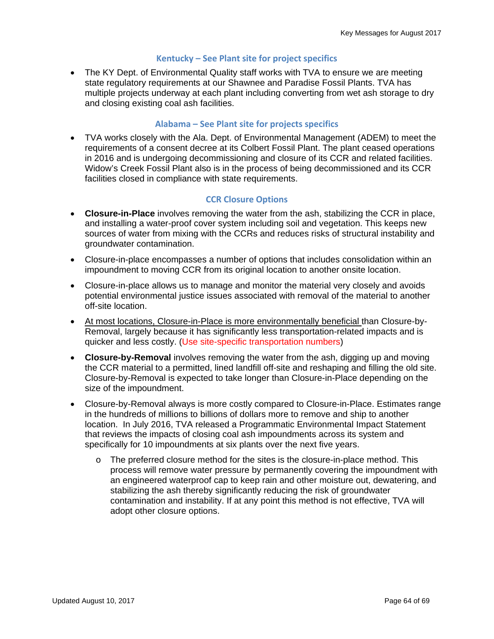#### **Kentucky – See Plant site for project specifics**

 The KY Dept. of Environmental Quality staff works with TVA to ensure we are meeting state regulatory requirements at our Shawnee and Paradise Fossil Plants. TVA has multiple projects underway at each plant including converting from wet ash storage to dry and closing existing coal ash facilities.

#### **Alabama – See Plant site for projects specifics**

 TVA works closely with the Ala. Dept. of Environmental Management (ADEM) to meet the requirements of a consent decree at its Colbert Fossil Plant. The plant ceased operations in 2016 and is undergoing decommissioning and closure of its CCR and related facilities. Widow's Creek Fossil Plant also is in the process of being decommissioned and its CCR facilities closed in compliance with state requirements.

#### **CCR Closure Options**

- **Closure-in-Place** involves removing the water from the ash, stabilizing the CCR in place, and installing a water-proof cover system including soil and vegetation. This keeps new sources of water from mixing with the CCRs and reduces risks of structural instability and groundwater contamination.
- Closure-in-place encompasses a number of options that includes consolidation within an impoundment to moving CCR from its original location to another onsite location.
- Closure-in-place allows us to manage and monitor the material very closely and avoids potential environmental justice issues associated with removal of the material to another off-site location.
- At most locations, Closure-in-Place is more environmentally beneficial than Closure-by-Removal, largely because it has significantly less transportation-related impacts and is quicker and less costly. (Use site-specific transportation numbers)
- **Closure-by-Removal** involves removing the water from the ash, digging up and moving the CCR material to a permitted, lined landfill off-site and reshaping and filling the old site. Closure-by-Removal is expected to take longer than Closure-in-Place depending on the size of the impoundment.
- Closure-by-Removal always is more costly compared to Closure-in-Place. Estimates range in the hundreds of millions to billions of dollars more to remove and ship to another location. In July 2016, TVA released a Programmatic Environmental Impact Statement that reviews the impacts of closing coal ash impoundments across its system and specifically for 10 impoundments at six plants over the next five years.
	- $\circ$  The preferred closure method for the sites is the closure-in-place method. This process will remove water pressure by permanently covering the impoundment with an engineered waterproof cap to keep rain and other moisture out, dewatering, and stabilizing the ash thereby significantly reducing the risk of groundwater contamination and instability. If at any point this method is not effective, TVA will adopt other closure options.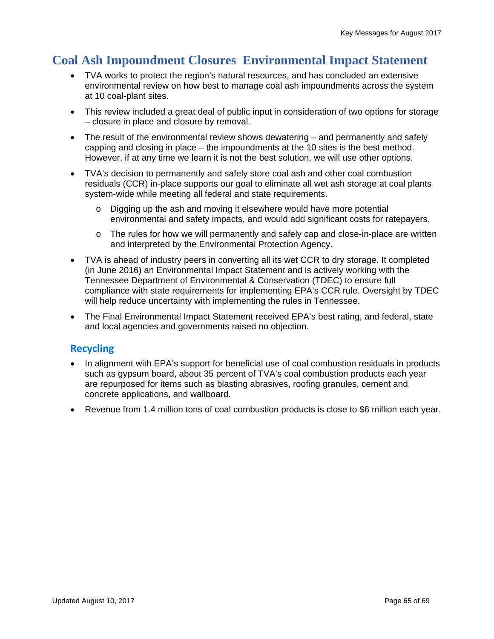# **Coal Ash Impoundment Closures Environmental Impact Statement**

- TVA works to protect the region's natural resources, and has concluded an extensive environmental review on how best to manage coal ash impoundments across the system at 10 coal-plant sites.
- This review included a great deal of public input in consideration of two options for storage – closure in place and closure by removal.
- The result of the environmental review shows dewatering and permanently and safely capping and closing in place – the impoundments at the 10 sites is the best method. However, if at any time we learn it is not the best solution, we will use other options.
- TVA's decision to permanently and safely store coal ash and other coal combustion residuals (CCR) in-place supports our goal to eliminate all wet ash storage at coal plants system-wide while meeting all federal and state requirements.
	- o Digging up the ash and moving it elsewhere would have more potential environmental and safety impacts, and would add significant costs for ratepayers.
	- $\circ$  The rules for how we will permanently and safely cap and close-in-place are written and interpreted by the Environmental Protection Agency.
- TVA is ahead of industry peers in converting all its wet CCR to dry storage. It completed (in June 2016) an Environmental Impact Statement and is actively working with the Tennessee Department of Environmental & Conservation (TDEC) to ensure full compliance with state requirements for implementing EPA's CCR rule. Oversight by TDEC will help reduce uncertainty with implementing the rules in Tennessee.
- The Final Environmental Impact Statement received EPA's best rating, and federal, state and local agencies and governments raised no objection.

### **Recycling**

- In alignment with EPA's support for beneficial use of coal combustion residuals in products such as gypsum board, about 35 percent of TVA's coal combustion products each year are repurposed for items such as blasting abrasives, roofing granules, cement and concrete applications, and wallboard.
- Revenue from 1.4 million tons of coal combustion products is close to \$6 million each year.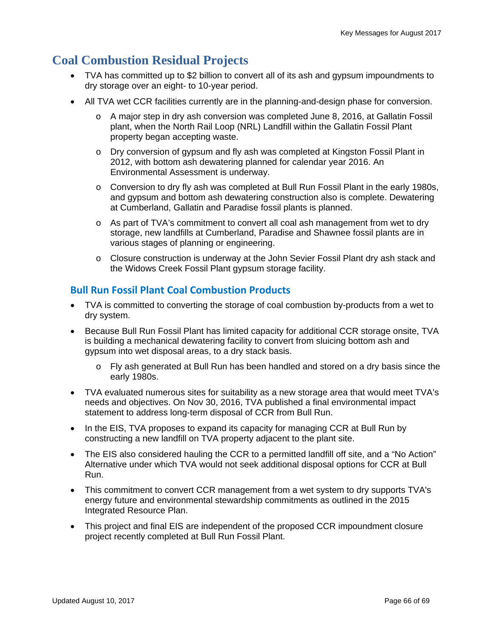# **Coal Combustion Residual Projects**

- TVA has committed up to \$2 billion to convert all of its ash and gypsum impoundments to dry storage over an eight- to 10-year period.
- All TVA wet CCR facilities currently are in the planning-and-design phase for conversion.
	- o A major step in dry ash conversion was completed June 8, 2016, at Gallatin Fossil plant, when the North Rail Loop (NRL) Landfill within the Gallatin Fossil Plant property began accepting waste.
	- o Dry conversion of gypsum and fly ash was completed at Kingston Fossil Plant in 2012, with bottom ash dewatering planned for calendar year 2016. An Environmental Assessment is underway.
	- $\circ$  Conversion to dry fly ash was completed at Bull Run Fossil Plant in the early 1980s, and gypsum and bottom ash dewatering construction also is complete. Dewatering at Cumberland, Gallatin and Paradise fossil plants is planned.
	- $\circ$  As part of TVA's commitment to convert all coal ash management from wet to dry storage, new landfills at Cumberland, Paradise and Shawnee fossil plants are in various stages of planning or engineering.
	- o Closure construction is underway at the John Sevier Fossil Plant dry ash stack and the Widows Creek Fossil Plant gypsum storage facility.

#### **Bull Run Fossil Plant Coal Combustion Products**

- TVA is committed to converting the storage of coal combustion by-products from a wet to dry system.
- Because Bull Run Fossil Plant has limited capacity for additional CCR storage onsite, TVA is building a mechanical dewatering facility to convert from sluicing bottom ash and gypsum into wet disposal areas, to a dry stack basis.
	- o Fly ash generated at Bull Run has been handled and stored on a dry basis since the early 1980s.
- TVA evaluated numerous sites for suitability as a new storage area that would meet TVA's needs and objectives. On Nov 30, 2016, TVA published a final environmental impact statement to address long-term disposal of CCR from Bull Run.
- In the EIS, TVA proposes to expand its capacity for managing CCR at Bull Run by constructing a new landfill on TVA property adjacent to the plant site.
- The EIS also considered hauling the CCR to a permitted landfill off site, and a "No Action" Alternative under which TVA would not seek additional disposal options for CCR at Bull Run.
- This commitment to convert CCR management from a wet system to dry supports TVA's energy future and environmental stewardship commitments as outlined in the 2015 Integrated Resource Plan.
- This project and final EIS are independent of the proposed CCR impoundment closure project recently completed at Bull Run Fossil Plant.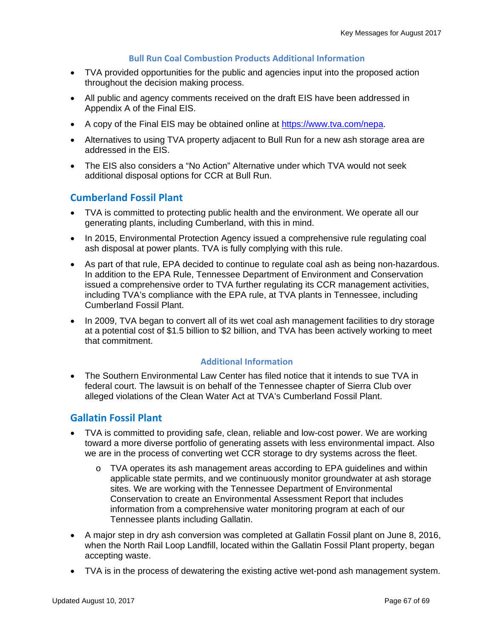#### **Bull Run Coal Combustion Products Additional Information**

- TVA provided opportunities for the public and agencies input into the proposed action throughout the decision making process.
- All public and agency comments received on the draft EIS have been addressed in Appendix A of the Final EIS.
- A copy of the Final EIS may be obtained online at https://www.tva.com/nepa.
- Alternatives to using TVA property adjacent to Bull Run for a new ash storage area are addressed in the EIS.
- The EIS also considers a "No Action" Alternative under which TVA would not seek additional disposal options for CCR at Bull Run.

#### **Cumberland Fossil Plant**

- TVA is committed to protecting public health and the environment. We operate all our generating plants, including Cumberland, with this in mind.
- In 2015, Environmental Protection Agency issued a comprehensive rule regulating coal ash disposal at power plants. TVA is fully complying with this rule.
- As part of that rule, EPA decided to continue to regulate coal ash as being non-hazardous. In addition to the EPA Rule, Tennessee Department of Environment and Conservation issued a comprehensive order to TVA further regulating its CCR management activities, including TVA's compliance with the EPA rule, at TVA plants in Tennessee, including Cumberland Fossil Plant.
- In 2009, TVA began to convert all of its wet coal ash management facilities to dry storage at a potential cost of \$1.5 billion to \$2 billion, and TVA has been actively working to meet that commitment.

#### **Additional Information**

 The Southern Environmental Law Center has filed notice that it intends to sue TVA in federal court. The lawsuit is on behalf of the Tennessee chapter of Sierra Club over alleged violations of the Clean Water Act at TVA's Cumberland Fossil Plant.

#### **Gallatin Fossil Plant**

- TVA is committed to providing safe, clean, reliable and low-cost power. We are working toward a more diverse portfolio of generating assets with less environmental impact. Also we are in the process of converting wet CCR storage to dry systems across the fleet.
	- $\circ$  TVA operates its ash management areas according to EPA guidelines and within applicable state permits, and we continuously monitor groundwater at ash storage sites. We are working with the Tennessee Department of Environmental Conservation to create an Environmental Assessment Report that includes information from a comprehensive water monitoring program at each of our Tennessee plants including Gallatin.
- A major step in dry ash conversion was completed at Gallatin Fossil plant on June 8, 2016, when the North Rail Loop Landfill, located within the Gallatin Fossil Plant property, began accepting waste.
- TVA is in the process of dewatering the existing active wet-pond ash management system.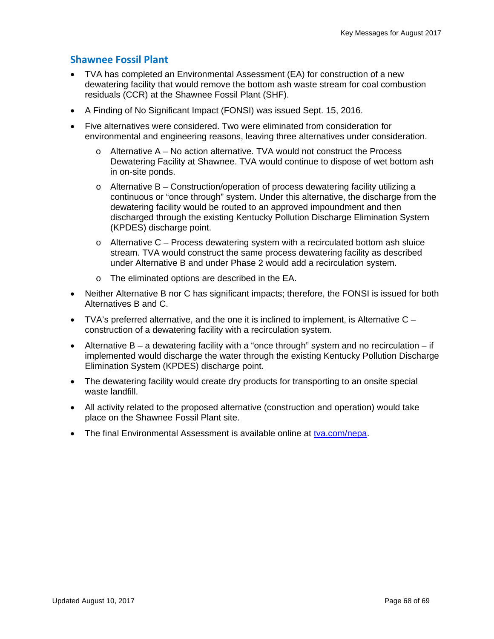### **Shawnee Fossil Plant**

- TVA has completed an Environmental Assessment (EA) for construction of a new dewatering facility that would remove the bottom ash waste stream for coal combustion residuals (CCR) at the Shawnee Fossil Plant (SHF).
- A Finding of No Significant Impact (FONSI) was issued Sept. 15, 2016.
- Five alternatives were considered. Two were eliminated from consideration for environmental and engineering reasons, leaving three alternatives under consideration.
	- $\circ$  Alternative A No action alternative. TVA would not construct the Process Dewatering Facility at Shawnee. TVA would continue to dispose of wet bottom ash in on-site ponds.
	- $\circ$  Alternative B Construction/operation of process dewatering facility utilizing a continuous or "once through" system. Under this alternative, the discharge from the dewatering facility would be routed to an approved impoundment and then discharged through the existing Kentucky Pollution Discharge Elimination System (KPDES) discharge point.
	- $\circ$  Alternative C Process dewatering system with a recirculated bottom ash sluice stream. TVA would construct the same process dewatering facility as described under Alternative B and under Phase 2 would add a recirculation system.
	- o The eliminated options are described in the EA.
- Neither Alternative B nor C has significant impacts; therefore, the FONSI is issued for both Alternatives B and C.
- $\bullet$  TVA's preferred alternative, and the one it is inclined to implement, is Alternative C construction of a dewatering facility with a recirculation system.
- Alternative  $B a$  dewatering facility with a "once through" system and no recirculation  $-$  if implemented would discharge the water through the existing Kentucky Pollution Discharge Elimination System (KPDES) discharge point.
- The dewatering facility would create dry products for transporting to an onsite special waste landfill.
- All activity related to the proposed alternative (construction and operation) would take place on the Shawnee Fossil Plant site.
- The final Environmental Assessment is available online at tva.com/nepa.